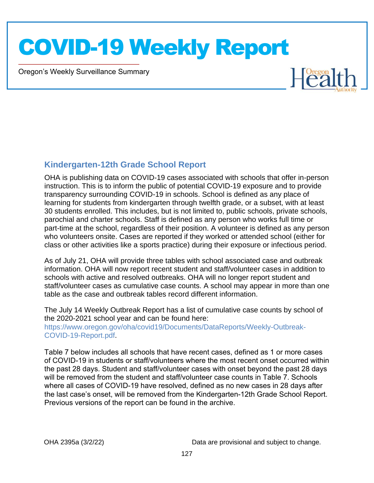Oregon's Weekly Surveillance Summary

Novel Coronavirus (COVID-19)



#### **Kindergarten-12th Grade School Report**

OHA is publishing data on COVID-19 cases associated with schools that offer in-person instruction. This is to inform the public of potential COVID-19 exposure and to provide transparency surrounding COVID-19 in schools. School is defined as any place of learning for students from kindergarten through twelfth grade, or a subset, with at least 30 students enrolled. This includes, but is not limited to, public schools, private schools, parochial and charter schools. Staff is defined as any person who works full time or part-time at the school, regardless of their position. A volunteer is defined as any person who volunteers onsite. Cases are reported if they worked or attended school (either for class or other activities like a sports practice) during their exposure or infectious period.

As of July 21, OHA will provide three tables with school associated case and outbreak information. OHA will now report recent student and staff/volunteer cases in addition to schools with active and resolved outbreaks. OHA will no longer report student and staff/volunteer cases as cumulative case counts. A school may appear in more than one table as the case and outbreak tables record different information.

The July 14 Weekly Outbreak Report has a list of cumulative case counts by school of the 2020-2021 school year and can be found here: https://www.oregon.gov/oha/covid19/Documents/DataReports/Weekly-Outbreak-COVID-19-Report.pdf.

Table 7 below includes all schools that have recent cases, defined as 1 or more cases of COVID-19 in students or staff/volunteers where the most recent onset occurred within the past 28 days. Student and staff/volunteer cases with onset beyond the past 28 days will be removed from the student and staff/volunteer case counts in Table 7. Schools where all cases of COVID-19 have resolved, defined as no new cases in 28 days after the last case's onset, will be removed from the Kindergarten-12th Grade School Report. Previous versions of the report can be found in the archive.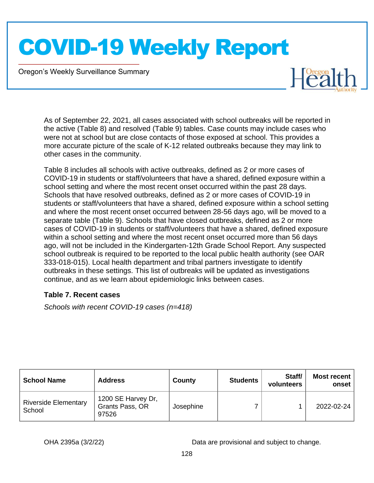Oregon's Weekly Surveillance Summary

Novel Coronavirus (COVID-19)

 $H_{C2}^{Oregon}$ 

As of September 22, 2021, all cases associated with school outbreaks will be reported in the active (Table 8) and resolved (Table 9) tables. Case counts may include cases who were not at school but are close contacts of those exposed at school. This provides a more accurate picture of the scale of K-12 related outbreaks because they may link to other cases in the community.

Table 8 includes all schools with active outbreaks, defined as 2 or more cases of COVID-19 in students or staff/volunteers that have a shared, defined exposure within a school setting and where the most recent onset occurred within the past 28 days. Schools that have resolved outbreaks, defined as 2 or more cases of COVID-19 in students or staff/volunteers that have a shared, defined exposure within a school setting and where the most recent onset occurred between 28-56 days ago, will be moved to a separate table (Table 9). Schools that have closed outbreaks, defined as 2 or more cases of COVID-19 in students or staff/volunteers that have a shared, defined exposure within a school setting and where the most recent onset occurred more than 56 days ago, will not be included in the Kindergarten-12th Grade School Report. Any suspected school outbreak is required to be reported to the local public health authority (see OAR 333-018-015). Local health department and tribal partners investigate to identify outbreaks in these settings. This list of outbreaks will be updated as investigations continue, and as we learn about epidemiologic links between cases.

#### **Table 7. Recent cases**

*Schools with recent COVID-19 cases (n=418)*

| <b>School Name</b>                    | <b>Address</b>                                 | County    | <b>Students</b> | Staff/<br>volunteers | Most recent  <br>onset |
|---------------------------------------|------------------------------------------------|-----------|-----------------|----------------------|------------------------|
| <b>Riverside Elementary</b><br>School | 1200 SE Harvey Dr,<br>Grants Pass, OR<br>97526 | Josephine |                 |                      | 2022-02-24             |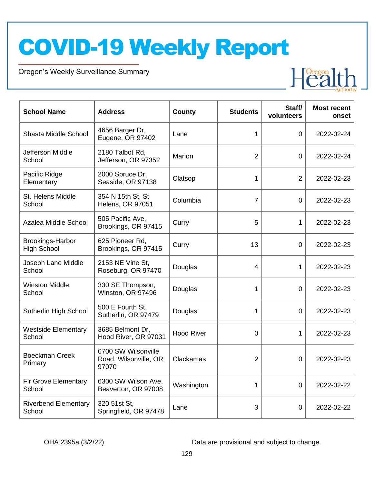Oregon's Weekly Surveillance Summary

Novel Coronavirus (COVID-19)



| <b>School Name</b>                     | <b>Address</b>                                        | <b>County</b>     | <b>Students</b> | Staff/<br>volunteers | <b>Most recent</b><br>onset |
|----------------------------------------|-------------------------------------------------------|-------------------|-----------------|----------------------|-----------------------------|
| Shasta Middle School                   | 4656 Barger Dr,<br>Eugene, OR 97402                   | Lane              | 1               | 0                    | 2022-02-24                  |
| Jefferson Middle<br>School             | 2180 Talbot Rd,<br>Jefferson, OR 97352                | Marion            | $\overline{2}$  | 0                    | 2022-02-24                  |
| Pacific Ridge<br>Elementary            | 2000 Spruce Dr,<br>Seaside, OR 97138                  | Clatsop           | 1               | $\overline{2}$       | 2022-02-23                  |
| St. Helens Middle<br>School            | 354 N 15th St, St<br>Helens, OR 97051                 | Columbia          | $\overline{7}$  | $\mathbf 0$          | 2022-02-23                  |
| Azalea Middle School                   | 505 Pacific Ave,<br>Brookings, OR 97415               | Curry             | 5               | $\mathbf{1}$         | 2022-02-23                  |
| Brookings-Harbor<br><b>High School</b> | 625 Pioneer Rd,<br>Brookings, OR 97415                | Curry             | 13              | $\mathbf 0$          | 2022-02-23                  |
| Joseph Lane Middle<br>School           | 2153 NE Vine St,<br>Roseburg, OR 97470                | Douglas           | 4               | 1                    | 2022-02-23                  |
| <b>Winston Middle</b><br>School        | 330 SE Thompson,<br>Winston, OR 97496                 | Douglas           | 1               | 0                    | 2022-02-23                  |
| Sutherlin High School                  | 500 E Fourth St,<br>Sutherlin, OR 97479               | Douglas           | $\mathbf{1}$    | $\overline{0}$       | 2022-02-23                  |
| <b>Westside Elementary</b><br>School   | 3685 Belmont Dr,<br>Hood River, OR 97031              | <b>Hood River</b> | $\Omega$        | $\mathbf{1}$         | 2022-02-23                  |
| <b>Boeckman Creek</b><br>Primary       | 6700 SW Wilsonville<br>Road, Wilsonville, OR<br>97070 | Clackamas         | $\overline{2}$  | 0                    | 2022-02-23                  |
| <b>Fir Grove Elementary</b><br>School  | 6300 SW Wilson Ave,<br>Beaverton, OR 97008            | Washington        | 1               | 0                    | 2022-02-22                  |
| <b>Riverbend Elementary</b><br>School  | 320 51st St,<br>Springfield, OR 97478                 | Lane              | 3               | 0                    | 2022-02-22                  |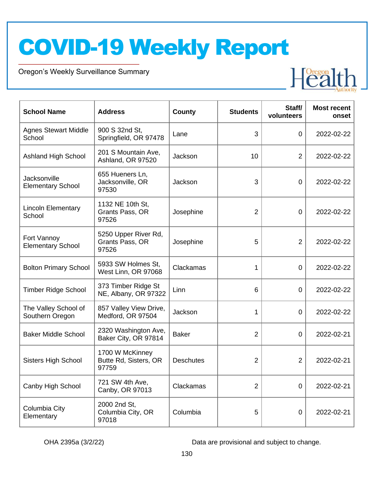Oregon's Weekly Surveillance Summary

Novel Coronavirus (COVID-19)



| <b>School Name</b>                       | <b>Address</b>                                    | <b>County</b>    | <b>Students</b> | Staff/<br>volunteers | <b>Most recent</b><br>onset |
|------------------------------------------|---------------------------------------------------|------------------|-----------------|----------------------|-----------------------------|
| <b>Agnes Stewart Middle</b><br>School    | 900 S 32nd St,<br>Springfield, OR 97478           | Lane             | 3               | $\overline{0}$       | 2022-02-22                  |
| <b>Ashland High School</b>               | 201 S Mountain Ave,<br>Ashland, OR 97520          | Jackson          | 10              | $\overline{2}$       | 2022-02-22                  |
| Jacksonville<br><b>Elementary School</b> | 655 Hueners Ln,<br>Jacksonville, OR<br>97530      | Jackson          | 3               | $\overline{0}$       | 2022-02-22                  |
| <b>Lincoln Elementary</b><br>School      | 1132 NE 10th St,<br>Grants Pass, OR<br>97526      | Josephine        | $\overline{2}$  | 0                    | 2022-02-22                  |
| Fort Vannoy<br><b>Elementary School</b>  | 5250 Upper River Rd,<br>Grants Pass, OR<br>97526  | Josephine        | 5               | 2                    | 2022-02-22                  |
| <b>Bolton Primary School</b>             | 5933 SW Holmes St,<br>West Linn, OR 97068         | Clackamas        | 1               | $\overline{0}$       | 2022-02-22                  |
| <b>Timber Ridge School</b>               | 373 Timber Ridge St<br>NE, Albany, OR 97322       | Linn             | 6               | $\overline{0}$       | 2022-02-22                  |
| The Valley School of<br>Southern Oregon  | 857 Valley View Drive,<br>Medford, OR 97504       | Jackson          | 1               | $\overline{0}$       | 2022-02-22                  |
| <b>Baker Middle School</b>               | 2320 Washington Ave,<br>Baker City, OR 97814      | <b>Baker</b>     | $\overline{2}$  | 0                    | 2022-02-21                  |
| <b>Sisters High School</b>               | 1700 W McKinney<br>Butte Rd, Sisters, OR<br>97759 | <b>Deschutes</b> | $\overline{2}$  | $\overline{2}$       | 2022-02-21                  |
| Canby High School                        | 721 SW 4th Ave,<br>Canby, OR 97013                | Clackamas        | $\overline{2}$  | $\overline{0}$       | 2022-02-21                  |
| Columbia City<br>Elementary              | 2000 2nd St,<br>Columbia City, OR<br>97018        | Columbia         | 5               | $\mathbf 0$          | 2022-02-21                  |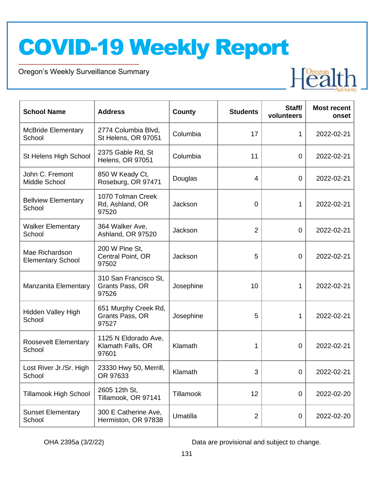Oregon's Weekly Surveillance Summary

Novel Coronavirus (COVID-19)



| <b>School Name</b>                         | <b>Address</b>                                     | County          | <b>Students</b> | Staff/<br>volunteers | <b>Most recent</b><br>onset |
|--------------------------------------------|----------------------------------------------------|-----------------|-----------------|----------------------|-----------------------------|
| <b>McBride Elementary</b><br>School        | 2774 Columbia Blvd,<br>St Helens, OR 97051         | Columbia        | 17              | 1                    | 2022-02-21                  |
| St Helens High School                      | 2375 Gable Rd, St<br>Helens, OR 97051              | Columbia        | 11              | 0                    | 2022-02-21                  |
| John C. Fremont<br>Middle School           | 850 W Keady Ct,<br>Roseburg, OR 97471              | Douglas         | $\overline{4}$  | 0                    | 2022-02-21                  |
| <b>Bellview Elementary</b><br>School       | 1070 Tolman Creek<br>Rd, Ashland, OR<br>97520      | Jackson         | 0               | 1                    | 2022-02-21                  |
| <b>Walker Elementary</b><br>School         | 364 Walker Ave,<br>Ashland, OR 97520               | Jackson         | $\overline{2}$  | $\overline{0}$       | 2022-02-21                  |
| Mae Richardson<br><b>Elementary School</b> | 200 W Pine St,<br>Central Point, OR<br>97502       | Jackson         | 5               | 0                    | 2022-02-21                  |
| Manzanita Elementary                       | 310 San Francisco St,<br>Grants Pass, OR<br>97526  | Josephine       | 10              | 1                    | 2022-02-21                  |
| Hidden Valley High<br>School               | 651 Murphy Creek Rd,<br>Grants Pass, OR<br>97527   | Josephine       | 5               | 1                    | 2022-02-21                  |
| <b>Roosevelt Elementary</b><br>School      | 1125 N Eldorado Ave,<br>Klamath Falls, OR<br>97601 | Klamath         | 1               | 0                    | 2022-02-21                  |
| Lost River Jr./Sr. High<br>School          | 23330 Hwy 50, Merrill,<br>OR 97633                 | Klamath         | 3               | 0                    | 2022-02-21                  |
| <b>Tillamook High School</b>               | 2605 12th St,<br>Tillamook, OR 97141               | Tillamook       | 12              | 0                    | 2022-02-20                  |
| <b>Sunset Elementary</b><br>School         | 300 E Catherine Ave,<br>Hermiston, OR 97838        | <b>Umatilla</b> | $\overline{2}$  | 0                    | 2022-02-20                  |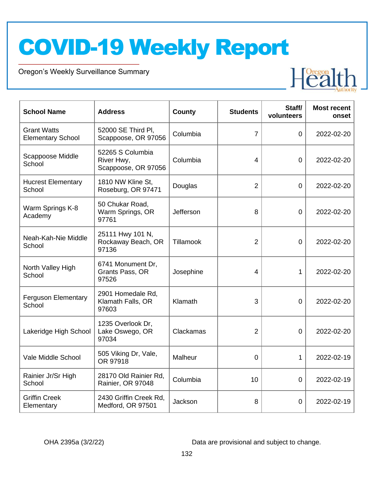Oregon's Weekly Surveillance Summary

Novel Coronavirus (COVID-19)



| <b>School Name</b>                             | <b>Address</b>                                        | County    | <b>Students</b> | Staff/<br>volunteers | <b>Most recent</b><br>onset |
|------------------------------------------------|-------------------------------------------------------|-----------|-----------------|----------------------|-----------------------------|
| <b>Grant Watts</b><br><b>Elementary School</b> | 52000 SE Third PI,<br>Scappoose, OR 97056             | Columbia  | $\overline{7}$  | $\mathbf 0$          | 2022-02-20                  |
| Scappoose Middle<br>School                     | 52265 S Columbia<br>River Hwy,<br>Scappoose, OR 97056 | Columbia  | 4               | $\overline{0}$       | 2022-02-20                  |
| <b>Hucrest Elementary</b><br>School            | 1810 NW Kline St.<br>Roseburg, OR 97471               | Douglas   | $\overline{2}$  | $\overline{0}$       | 2022-02-20                  |
| Warm Springs K-8<br>Academy                    | 50 Chukar Road,<br>Warm Springs, OR<br>97761          | Jefferson | 8               | $\overline{0}$       | 2022-02-20                  |
| Neah-Kah-Nie Middle<br>School                  | 25111 Hwy 101 N,<br>Rockaway Beach, OR<br>97136       | Tillamook | $\overline{2}$  | $\overline{0}$       | 2022-02-20                  |
| North Valley High<br>School                    | 6741 Monument Dr,<br>Grants Pass, OR<br>97526         | Josephine | 4               | 1                    | 2022-02-20                  |
| <b>Ferguson Elementary</b><br>School           | 2901 Homedale Rd,<br>Klamath Falls, OR<br>97603       | Klamath   | 3               | $\overline{0}$       | 2022-02-20                  |
| Lakeridge High School                          | 1235 Overlook Dr,<br>Lake Oswego, OR<br>97034         | Clackamas | $\overline{2}$  | $\overline{0}$       | 2022-02-20                  |
| Vale Middle School                             | 505 Viking Dr, Vale,<br>OR 97918                      | Malheur   | $\mathbf 0$     | 1                    | 2022-02-19                  |
| Rainier Jr/Sr High<br>School                   | 28170 Old Rainier Rd,<br>Rainier, OR 97048            | Columbia  | 10              | $\overline{0}$       | 2022-02-19                  |
| <b>Griffin Creek</b><br>Elementary             | 2430 Griffin Creek Rd,<br>Medford, OR 97501           | Jackson   | 8               | 0                    | 2022-02-19                  |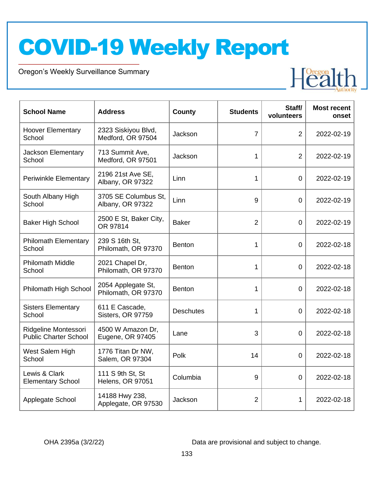Oregon's Weekly Surveillance Summary

Novel Coronavirus (COVID-19)



| <b>School Name</b>                                   | <b>Address</b>                              | County           | <b>Students</b> | Staff/<br>volunteers | <b>Most recent</b><br>onset |
|------------------------------------------------------|---------------------------------------------|------------------|-----------------|----------------------|-----------------------------|
| <b>Hoover Elementary</b><br>School                   | 2323 Siskiyou Blvd,<br>Medford, OR 97504    | Jackson          | $\overline{7}$  | $\overline{2}$       | 2022-02-19                  |
| <b>Jackson Elementary</b><br>School                  | 713 Summit Ave,<br>Medford, OR 97501        | Jackson          | 1               | $\overline{2}$       | 2022-02-19                  |
| <b>Periwinkle Elementary</b>                         | 2196 21st Ave SE,<br>Albany, OR 97322       | Linn             | 1               | $\mathbf 0$          | 2022-02-19                  |
| South Albany High<br>School                          | 3705 SE Columbus St,<br>Albany, OR 97322    | Linn             | 9               | $\overline{0}$       | 2022-02-19                  |
| <b>Baker High School</b>                             | 2500 E St, Baker City,<br>OR 97814          | <b>Baker</b>     | $\overline{2}$  | $\overline{0}$       | 2022-02-19                  |
| <b>Philomath Elementary</b><br>School                | 239 S 16th St,<br>Philomath, OR 97370       | <b>Benton</b>    | 1               | $\overline{0}$       | 2022-02-18                  |
| <b>Philomath Middle</b><br>School                    | 2021 Chapel Dr,<br>Philomath, OR 97370      | <b>Benton</b>    | 1               | $\overline{0}$       | 2022-02-18                  |
| Philomath High School                                | 2054 Applegate St,<br>Philomath, OR 97370   | <b>Benton</b>    | 1               | $\overline{0}$       | 2022-02-18                  |
| <b>Sisters Elementary</b><br>School                  | 611 E Cascade,<br>Sisters, OR 97759         | <b>Deschutes</b> | 1               | 0                    | 2022-02-18                  |
| Ridgeline Montessori<br><b>Public Charter School</b> | 4500 W Amazon Dr,<br>Eugene, OR 97405       | Lane             | 3               | $\overline{0}$       | 2022-02-18                  |
| West Salem High<br>School                            | 1776 Titan Dr NW,<br>Salem, OR 97304        | Polk             | 14              | $\overline{0}$       | 2022-02-18                  |
| Lewis & Clark<br><b>Elementary School</b>            | 111 S 9th St, St<br><b>Helens, OR 97051</b> | Columbia         | 9               | $\Omega$             | 2022-02-18                  |
| Applegate School                                     | 14188 Hwy 238,<br>Applegate, OR 97530       | Jackson          | $\overline{2}$  | 1                    | 2022-02-18                  |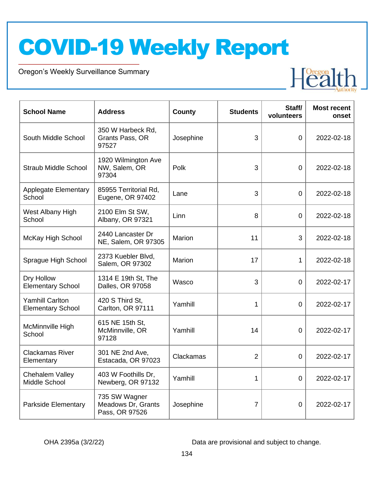Oregon's Weekly Surveillance Summary

Novel Coronavirus (COVID-19)



| <b>School Name</b>                                 | <b>Address</b>                                        | <b>County</b> | <b>Students</b> | Staff/<br>volunteers | <b>Most recent</b><br>onset |
|----------------------------------------------------|-------------------------------------------------------|---------------|-----------------|----------------------|-----------------------------|
| South Middle School                                | 350 W Harbeck Rd,<br>Grants Pass, OR<br>97527         | Josephine     | 3               | $\overline{0}$       | 2022-02-18                  |
| <b>Straub Middle School</b>                        | 1920 Wilmington Ave<br>NW, Salem, OR<br>97304         | Polk          | 3               | $\overline{0}$       | 2022-02-18                  |
| <b>Applegate Elementary</b><br>School              | 85955 Territorial Rd,<br>Eugene, OR 97402             | Lane          | 3               | $\overline{0}$       | 2022-02-18                  |
| West Albany High<br>School                         | 2100 Elm St SW,<br>Albany, OR 97321                   | Linn          | 8               | $\overline{0}$       | 2022-02-18                  |
| McKay High School                                  | 2440 Lancaster Dr<br>NE, Salem, OR 97305              | Marion        | 11              | 3                    | 2022-02-18                  |
| Sprague High School                                | 2373 Kuebler Blvd,<br>Salem, OR 97302                 | Marion        | 17              | 1                    | 2022-02-18                  |
| Dry Hollow<br><b>Elementary School</b>             | 1314 E 19th St, The<br>Dalles, OR 97058               | Wasco         | 3               | $\overline{0}$       | 2022-02-17                  |
| <b>Yamhill Carlton</b><br><b>Elementary School</b> | 420 S Third St,<br>Carlton, OR 97111                  | Yamhill       | 1               | 0                    | 2022-02-17                  |
| McMinnville High<br>School                         | 615 NE 15th St,<br>McMinnville, OR<br>97128           | Yamhill       | 14              | 0                    | 2022-02-17                  |
| <b>Clackamas River</b><br>Elementary               | 301 NE 2nd Ave,<br>Estacada, OR 97023                 | Clackamas     | $\overline{2}$  | 0                    | 2022-02-17                  |
| Chehalem Valley<br>Middle School                   | 403 W Foothills Dr,<br>Newberg, OR 97132              | Yamhill       | 1               | $\overline{0}$       | 2022-02-17                  |
| Parkside Elementary                                | 735 SW Wagner<br>Meadows Dr, Grants<br>Pass, OR 97526 | Josephine     | $\overline{7}$  | $\mathbf 0$          | 2022-02-17                  |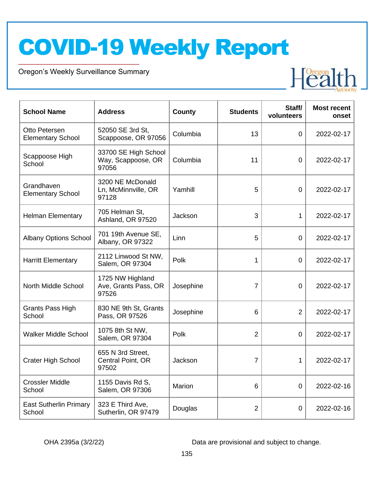Oregon's Weekly Surveillance Summary

Novel Coronavirus (COVID-19)



| <b>School Name</b>                        | <b>Address</b>                                      | <b>County</b> | <b>Students</b> | Staff/<br>volunteers | <b>Most recent</b><br>onset |
|-------------------------------------------|-----------------------------------------------------|---------------|-----------------|----------------------|-----------------------------|
| Otto Petersen<br><b>Elementary School</b> | 52050 SE 3rd St,<br>Scappoose, OR 97056             | Columbia      | 13              | 0                    | 2022-02-17                  |
| Scappoose High<br>School                  | 33700 SE High School<br>Way, Scappoose, OR<br>97056 | Columbia      | 11              | $\overline{0}$       | 2022-02-17                  |
| Grandhaven<br><b>Elementary School</b>    | 3200 NE McDonald<br>Ln, McMinnville, OR<br>97128    | Yamhill       | 5               | $\overline{0}$       | 2022-02-17                  |
| <b>Helman Elementary</b>                  | 705 Helman St,<br>Ashland, OR 97520                 | Jackson       | 3               | 1                    | 2022-02-17                  |
| <b>Albany Options School</b>              | 701 19th Avenue SE,<br>Albany, OR 97322             | Linn          | 5               | $\overline{0}$       | 2022-02-17                  |
| <b>Harritt Elementary</b>                 | 2112 Linwood St NW,<br>Salem, OR 97304              | Polk          | 1               | $\overline{0}$       | 2022-02-17                  |
| North Middle School                       | 1725 NW Highland<br>Ave, Grants Pass, OR<br>97526   | Josephine     | 7               | 0                    | 2022-02-17                  |
| Grants Pass High<br>School                | 830 NE 9th St, Grants<br>Pass, OR 97526             | Josephine     | 6               | $\overline{2}$       | 2022-02-17                  |
| <b>Walker Middle School</b>               | 1075 8th St NW,<br>Salem, OR 97304                  | Polk          | $\overline{2}$  | 0                    | 2022-02-17                  |
| <b>Crater High School</b>                 | 655 N 3rd Street,<br>Central Point, OR<br>97502     | Jackson       | 7               | 1                    | 2022-02-17                  |
| <b>Crossler Middle</b><br>School          | 1155 Davis Rd S,<br>Salem, OR 97306                 | Marion        | 6               | 0                    | 2022-02-16                  |
| <b>East Sutherlin Primary</b><br>School   | 323 E Third Ave,<br>Sutherlin, OR 97479             | Douglas       | $\overline{2}$  | 0                    | 2022-02-16                  |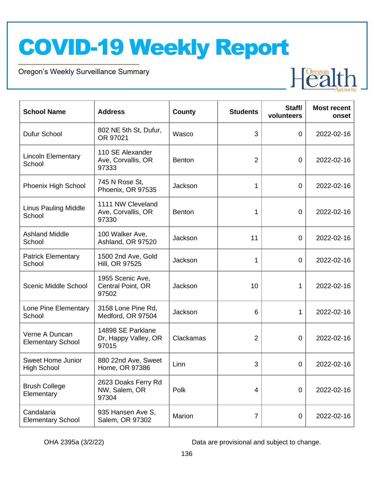Oregon's Weekly Surveillance Summary

Novel Coronavirus (COVID-19)



| <b>School Name</b>                             | <b>Address</b>                                     | <b>County</b> | <b>Students</b> | Staff/<br>volunteers | <b>Most recent</b><br>onset |
|------------------------------------------------|----------------------------------------------------|---------------|-----------------|----------------------|-----------------------------|
| Dufur School                                   | 802 NE 5th St, Dufur,<br>OR 97021                  | Wasco         | 3               | $\overline{0}$       | 2022-02-16                  |
| <b>Lincoln Elementary</b><br>School            | 110 SE Alexander<br>Ave, Corvallis, OR<br>97333    | <b>Benton</b> | $\overline{2}$  | $\overline{0}$       | 2022-02-16                  |
| Phoenix High School                            | 745 N Rose St,<br>Phoenix, OR 97535                | Jackson       | 1               | 0                    | 2022-02-16                  |
| <b>Linus Pauling Middle</b><br>School          | 1111 NW Cleveland<br>Ave, Corvallis, OR<br>97330   | <b>Benton</b> | 1               | $\overline{0}$       | 2022-02-16                  |
| <b>Ashland Middle</b><br>School                | 100 Walker Ave,<br>Ashland, OR 97520               | Jackson       | 11              | 0                    | 2022-02-16                  |
| <b>Patrick Elementary</b><br>School            | 1500 2nd Ave, Gold<br>Hill, OR 97525               | Jackson       | 1               | 0                    | 2022-02-16                  |
| Scenic Middle School                           | 1955 Scenic Ave,<br>Central Point, OR<br>97502     | Jackson       | 10              | 1                    | 2022-02-16                  |
| Lone Pine Elementary<br>School                 | 3158 Lone Pine Rd,<br>Medford, OR 97504            | Jackson       | 6               | 1                    | 2022-02-16                  |
| Verne A Duncan<br><b>Elementary School</b>     | 14898 SE Parklane<br>Dr, Happy Valley, OR<br>97015 | Clackamas     | $\overline{2}$  | $\overline{0}$       | 2022-02-16                  |
| <b>Sweet Home Junior</b><br><b>High School</b> | 880 22nd Ave, Sweet<br>Home, OR 97386              | Linn          | 3               | 0                    | 2022-02-16                  |
| <b>Brush College</b><br>Elementary             | 2623 Doaks Ferry Rd<br>NW, Salem, OR<br>97304      | Polk          | $\overline{4}$  | $\overline{0}$       | 2022-02-16                  |
| Candalaria<br><b>Elementary School</b>         | 935 Hansen Ave S,<br>Salem, OR 97302               | Marion        | $\overline{7}$  | $\boldsymbol{0}$     | 2022-02-16                  |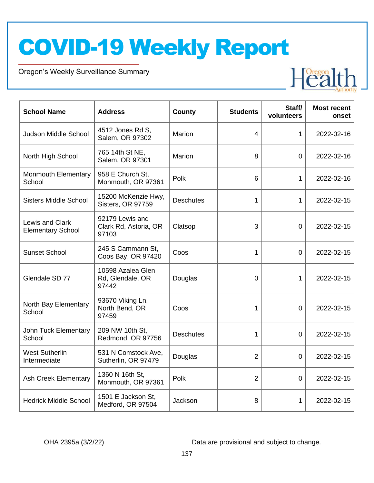Oregon's Weekly Surveillance Summary

Novel Coronavirus (COVID-19)



| <b>School Name</b>                          | <b>Address</b>                                    | County           | <b>Students</b> | Staff/<br>volunteers | <b>Most recent</b><br>onset |
|---------------------------------------------|---------------------------------------------------|------------------|-----------------|----------------------|-----------------------------|
| <b>Judson Middle School</b>                 | 4512 Jones Rd S,<br>Salem, OR 97302               | Marion           | 4               | 1                    | 2022-02-16                  |
| North High School                           | 765 14th St NE,<br>Salem, OR 97301                | Marion           | 8               | $\overline{0}$       | 2022-02-16                  |
| <b>Monmouth Elementary</b><br>School        | 958 E Church St,<br>Monmouth, OR 97361            | Polk             | 6               | 1                    | 2022-02-16                  |
| <b>Sisters Middle School</b>                | 15200 McKenzie Hwy,<br>Sisters, OR 97759          | <b>Deschutes</b> | 1               | 1                    | 2022-02-15                  |
| Lewis and Clark<br><b>Elementary School</b> | 92179 Lewis and<br>Clark Rd, Astoria, OR<br>97103 | Clatsop          | 3               | $\overline{0}$       | 2022-02-15                  |
| <b>Sunset School</b>                        | 245 S Cammann St.<br>Coos Bay, OR 97420           | Coos             | 1               | $\Omega$             | 2022-02-15                  |
| Glendale SD 77                              | 10598 Azalea Glen<br>Rd, Glendale, OR<br>97442    | Douglas          | $\overline{0}$  | 1                    | 2022-02-15                  |
| North Bay Elementary<br>School              | 93670 Viking Ln,<br>North Bend, OR<br>97459       | Coos             | 1               | $\overline{0}$       | 2022-02-15                  |
| John Tuck Elementary<br>School              | 209 NW 10th St,<br>Redmond, OR 97756              | <b>Deschutes</b> | 1               | $\overline{0}$       | 2022-02-15                  |
| <b>West Sutherlin</b><br>Intermediate       | 531 N Comstock Ave,<br>Sutherlin, OR 97479        | Douglas          | $\overline{2}$  | $\overline{0}$       | 2022-02-15                  |
| <b>Ash Creek Elementary</b>                 | 1360 N 16th St,<br>Monmouth, OR 97361             | Polk             | $\overline{2}$  | 0                    | 2022-02-15                  |
| <b>Hedrick Middle School</b>                | 1501 E Jackson St,<br>Medford, OR 97504           | Jackson          | 8               | $\mathbf{1}$         | 2022-02-15                  |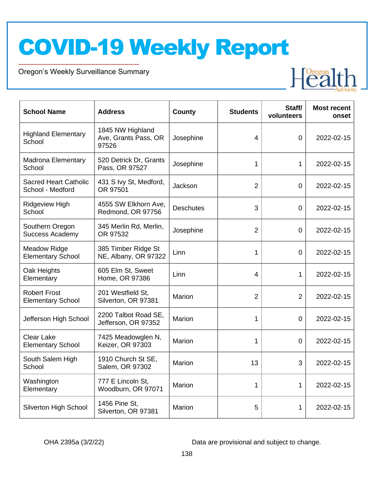Oregon's Weekly Surveillance Summary

Novel Coronavirus (COVID-19)



| <b>School Name</b>                               | <b>Address</b>                                    | County           | <b>Students</b> | Staff/<br>volunteers | <b>Most recent</b><br>onset |
|--------------------------------------------------|---------------------------------------------------|------------------|-----------------|----------------------|-----------------------------|
| <b>Highland Elementary</b><br>School             | 1845 NW Highland<br>Ave, Grants Pass, OR<br>97526 | Josephine        | 4               | $\overline{0}$       | 2022-02-15                  |
| <b>Madrona Elementary</b><br>School              | 520 Detrick Dr, Grants<br>Pass, OR 97527          | Josephine        | 1               | $\mathbf{1}$         | 2022-02-15                  |
| <b>Sacred Heart Catholic</b><br>School - Medford | 431 S Ivy St, Medford,<br>OR 97501                | Jackson          | $\overline{2}$  | $\overline{0}$       | 2022-02-15                  |
| Ridgeview High<br>School                         | 4555 SW Elkhorn Ave,<br>Redmond, OR 97756         | <b>Deschutes</b> | 3               | $\overline{0}$       | 2022-02-15                  |
| Southern Oregon<br><b>Success Academy</b>        | 345 Merlin Rd, Merlin,<br>OR 97532                | Josephine        | $\overline{2}$  | 0                    | 2022-02-15                  |
| <b>Meadow Ridge</b><br><b>Elementary School</b>  | 385 Timber Ridge St<br>NE, Albany, OR 97322       | Linn             | 1               | $\overline{0}$       | 2022-02-15                  |
| Oak Heights<br>Elementary                        | 605 Elm St, Sweet<br>Home, OR 97386               | Linn             | 4               | $\mathbf{1}$         | 2022-02-15                  |
| <b>Robert Frost</b><br><b>Elementary School</b>  | 201 Westfield St,<br>Silverton, OR 97381          | Marion           | $\overline{2}$  | $\overline{2}$       | 2022-02-15                  |
| Jefferson High School                            | 2200 Talbot Road SE,<br>Jefferson, OR 97352       | Marion           | 1               | $\overline{0}$       | 2022-02-15                  |
| <b>Clear Lake</b><br><b>Elementary School</b>    | 7425 Meadowglen N,<br>Keizer, OR 97303            | Marion           | 1               | $\overline{0}$       | 2022-02-15                  |
| South Salem High<br>School                       | 1910 Church St SE,<br>Salem, OR 97302             | Marion           | 13              | 3                    | 2022-02-15                  |
| Washington<br>Elementary                         | 777 E Lincoln St,<br>Woodburn, OR 97071           | Marion           | 1               | $\mathbf{1}$         | 2022-02-15                  |
| Silverton High School                            | 1456 Pine St,<br>Silverton, OR 97381              | Marion           | 5               | 1                    | 2022-02-15                  |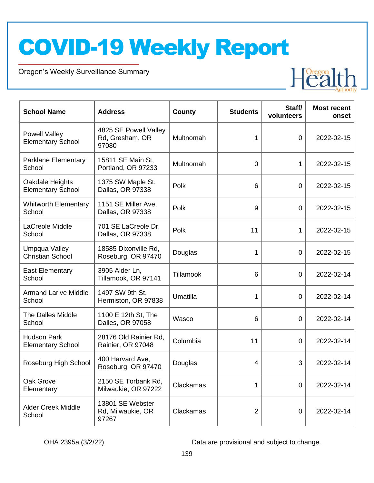Oregon's Weekly Surveillance Summary

Novel Coronavirus (COVID-19)



| <b>School Name</b>                             | <b>Address</b>                                    | County    | <b>Students</b> | Staff/<br>volunteers | <b>Most recent</b><br>onset |
|------------------------------------------------|---------------------------------------------------|-----------|-----------------|----------------------|-----------------------------|
| Powell Valley<br><b>Elementary School</b>      | 4825 SE Powell Valley<br>Rd, Gresham, OR<br>97080 | Multnomah | 1               | $\overline{0}$       | 2022-02-15                  |
| Parklane Elementary<br>School                  | 15811 SE Main St,<br>Portland, OR 97233           | Multnomah | $\overline{0}$  | 1                    | 2022-02-15                  |
| Oakdale Heights<br><b>Elementary School</b>    | 1375 SW Maple St,<br>Dallas, OR 97338             | Polk      | 6               | $\overline{0}$       | 2022-02-15                  |
| <b>Whitworth Elementary</b><br>School          | 1151 SE Miller Ave,<br>Dallas, OR 97338           | Polk      | 9               | $\overline{0}$       | 2022-02-15                  |
| LaCreole Middle<br>School                      | 701 SE LaCreole Dr,<br>Dallas, OR 97338           | Polk      | 11              | $\mathbf 1$          | 2022-02-15                  |
| Umpqua Valley<br><b>Christian School</b>       | 18585 Dixonville Rd,<br>Roseburg, OR 97470        | Douglas   | 1               | $\overline{0}$       | 2022-02-15                  |
| <b>East Elementary</b><br>School               | 3905 Alder Ln,<br>Tillamook, OR 97141             | Tillamook | 6               | $\overline{0}$       | 2022-02-14                  |
| <b>Armand Larive Middle</b><br>School          | 1497 SW 9th St,<br>Hermiston, OR 97838            | Umatilla  | 1               | $\overline{0}$       | 2022-02-14                  |
| The Dalles Middle<br>School                    | 1100 E 12th St, The<br>Dalles, OR 97058           | Wasco     | 6               | $\overline{0}$       | 2022-02-14                  |
| <b>Hudson Park</b><br><b>Elementary School</b> | 28176 Old Rainier Rd,<br>Rainier, OR 97048        | Columbia  | 11              | 0                    | 2022-02-14                  |
| Roseburg High School                           | 400 Harvard Ave,<br>Roseburg, OR 97470            | Douglas   | 4               | 3                    | 2022-02-14                  |
| Oak Grove<br>Elementary                        | 2150 SE Torbank Rd,<br>Milwaukie, OR 97222        | Clackamas | 1               | $\overline{0}$       | 2022-02-14                  |
| <b>Alder Creek Middle</b><br>School            | 13801 SE Webster<br>Rd, Milwaukie, OR<br>97267    | Clackamas | $\overline{2}$  | 0                    | 2022-02-14                  |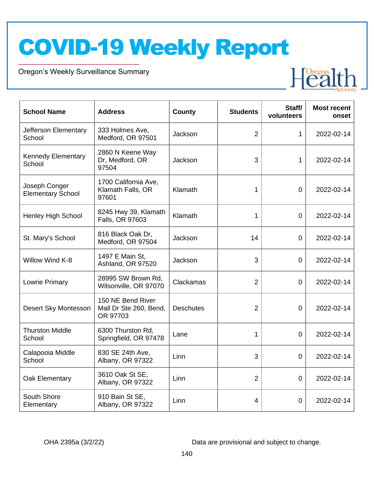Oregon's Weekly Surveillance Summary

Novel Coronavirus (COVID-19)



| <b>School Name</b>                        | <b>Address</b>                                          | <b>County</b>    | <b>Students</b> | Staff/<br>volunteers | <b>Most recent</b><br>onset |
|-------------------------------------------|---------------------------------------------------------|------------------|-----------------|----------------------|-----------------------------|
| Jefferson Elementary<br>School            | 333 Holmes Ave,<br>Medford, OR 97501                    | Jackson          | $\overline{2}$  | $\mathbf 1$          | 2022-02-14                  |
| <b>Kennedy Elementary</b><br>School       | 2860 N Keene Way<br>Dr, Medford, OR<br>97504            | Jackson          | 3               | $\mathbf{1}$         | 2022-02-14                  |
| Joseph Conger<br><b>Elementary School</b> | 1700 California Ave,<br>Klamath Falls, OR<br>97601      | Klamath          | 1               | $\mathbf 0$          | 2022-02-14                  |
| <b>Henley High School</b>                 | 8245 Hwy 39, Klamath<br>Falls, OR 97603                 | Klamath          | 1               | $\mathbf 0$          | 2022-02-14                  |
| St. Mary's School                         | 816 Black Oak Dr,<br>Medford, OR 97504                  | Jackson          | 14              | $\Omega$             | 2022-02-14                  |
| Willow Wind K-8                           | 1497 E Main St,<br>Ashland, OR 97520                    | Jackson          | 3               | $\overline{0}$       | 2022-02-14                  |
| Lowrie Primary                            | 28995 SW Brown Rd,<br>Wilsonville, OR 97070             | Clackamas        | $\overline{2}$  | $\overline{0}$       | 2022-02-14                  |
| Desert Sky Montessori                     | 150 NE Bend River<br>Mall Dr Ste 260, Bend,<br>OR 97703 | <b>Deschutes</b> | $\overline{2}$  | 0                    | 2022-02-14                  |
| <b>Thurston Middle</b><br>School          | 6300 Thurston Rd,<br>Springfield, OR 97478              | Lane             | 1               | $\overline{0}$       | 2022-02-14                  |
| Calapooia Middle<br>School                | 830 SE 24th Ave,<br>Albany, OR 97322                    | Linn             | 3               | $\overline{0}$       | 2022-02-14                  |
| Oak Elementary                            | 3610 Oak St SE,<br>Albany, OR 97322                     | Linn             | $\overline{2}$  | 0                    | 2022-02-14                  |
| South Shore<br>Elementary                 | 910 Bain St SE,<br>Albany, OR 97322                     | Linn             | 4               | 0                    | 2022-02-14                  |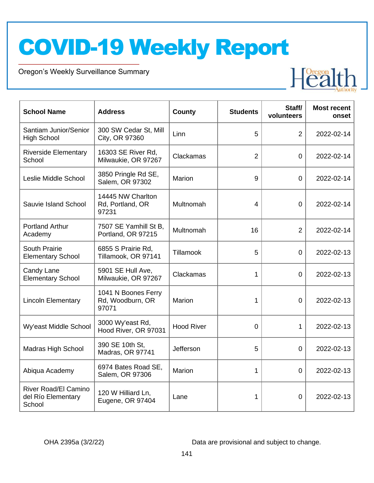Oregon's Weekly Surveillance Summary

Novel Coronavirus (COVID-19)



| <b>School Name</b>                                          | <b>Address</b>                                   | <b>County</b>     | <b>Students</b> | Staff/<br>volunteers | <b>Most recent</b><br>onset |
|-------------------------------------------------------------|--------------------------------------------------|-------------------|-----------------|----------------------|-----------------------------|
| Santiam Junior/Senior<br><b>High School</b>                 | 300 SW Cedar St, Mill<br>City, OR 97360          | Linn              | 5               | $\overline{2}$       | 2022-02-14                  |
| <b>Riverside Elementary</b><br>School                       | 16303 SE River Rd,<br>Milwaukie, OR 97267        | Clackamas         | $\overline{2}$  | $\Omega$             | 2022-02-14                  |
| Leslie Middle School                                        | 3850 Pringle Rd SE,<br>Salem, OR 97302           | Marion            | 9               | $\Omega$             | 2022-02-14                  |
| Sauvie Island School                                        | 14445 NW Charlton<br>Rd, Portland, OR<br>97231   | Multnomah         | 4               | 0                    | 2022-02-14                  |
| <b>Portland Arthur</b><br>Academy                           | 7507 SE Yamhill St B,<br>Portland, OR 97215      | Multnomah         | 16              | $\overline{2}$       | 2022-02-14                  |
| <b>South Prairie</b><br><b>Elementary School</b>            | 6855 S Prairie Rd,<br>Tillamook, OR 97141        | Tillamook         | 5               | $\overline{0}$       | 2022-02-13                  |
| Candy Lane<br><b>Elementary School</b>                      | 5901 SE Hull Ave,<br>Milwaukie, OR 97267         | Clackamas         | 1               | $\overline{0}$       | 2022-02-13                  |
| <b>Lincoln Elementary</b>                                   | 1041 N Boones Ferry<br>Rd, Woodburn, OR<br>97071 | Marion            | 1               | $\overline{0}$       | 2022-02-13                  |
| Wy'east Middle School                                       | 3000 Wy'east Rd,<br>Hood River, OR 97031         | <b>Hood River</b> | 0               | 1                    | 2022-02-13                  |
| <b>Madras High School</b>                                   | 390 SE 10th St,<br>Madras, OR 97741              | Jefferson         | 5               | $\overline{0}$       | 2022-02-13                  |
| Abiqua Academy                                              | 6974 Bates Road SE,<br>Salem, OR 97306           | Marion            | 1               | 0                    | 2022-02-13                  |
| <b>River Road/El Camino</b><br>del Río Elementary<br>School | 120 W Hilliard Ln,<br>Eugene, OR 97404           | Lane              | 1               | 0                    | 2022-02-13                  |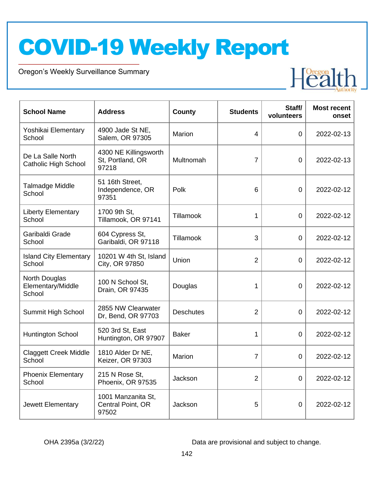Oregon's Weekly Surveillance Summary

Novel Coronavirus (COVID-19)



| <b>School Name</b>                               | <b>Address</b>                                     | <b>County</b>    | <b>Students</b> | Staff/<br>volunteers | <b>Most recent</b><br>onset |
|--------------------------------------------------|----------------------------------------------------|------------------|-----------------|----------------------|-----------------------------|
| Yoshikai Elementary<br>School                    | 4900 Jade St NE,<br>Salem, OR 97305                | Marion           | $\overline{4}$  | $\overline{0}$       | 2022-02-13                  |
| De La Salle North<br><b>Catholic High School</b> | 4300 NE Killingsworth<br>St, Portland, OR<br>97218 | Multnomah        | $\overline{7}$  | $\overline{0}$       | 2022-02-13                  |
| <b>Talmadge Middle</b><br>School                 | 51 16th Street,<br>Independence, OR<br>97351       | Polk             | 6               | 0                    | 2022-02-12                  |
| <b>Liberty Elementary</b><br>School              | 1700 9th St,<br>Tillamook, OR 97141                | Tillamook        | 1               | $\overline{0}$       | 2022-02-12                  |
| Garibaldi Grade<br>School                        | 604 Cypress St,<br>Garibaldi, OR 97118             | Tillamook        | 3               | $\overline{0}$       | 2022-02-12                  |
| <b>Island City Elementary</b><br>School          | 10201 W 4th St, Island<br>City, OR 97850           | Union            | $\overline{2}$  | $\overline{0}$       | 2022-02-12                  |
| North Douglas<br>Elementary/Middle<br>School     | 100 N School St,<br>Drain, OR 97435                | Douglas          | 1               | 0                    | 2022-02-12                  |
| Summit High School                               | 2855 NW Clearwater<br>Dr, Bend, OR 97703           | <b>Deschutes</b> | 2               | $\overline{0}$       | 2022-02-12                  |
| <b>Huntington School</b>                         | 520 3rd St, East<br>Huntington, OR 97907           | <b>Baker</b>     | 1               | 0                    | 2022-02-12                  |
| <b>Claggett Creek Middle</b><br>School           | 1810 Alder Dr NE,<br>Keizer, OR 97303              | Marion           | $\overline{7}$  | 0                    | 2022-02-12                  |
| <b>Phoenix Elementary</b><br>School              | 215 N Rose St,<br>Phoenix, OR 97535                | Jackson          | $\overline{2}$  | 0                    | 2022-02-12                  |
| Jewett Elementary                                | 1001 Manzanita St,<br>Central Point, OR<br>97502   | Jackson          | 5               | $\mathbf 0$          | 2022-02-12                  |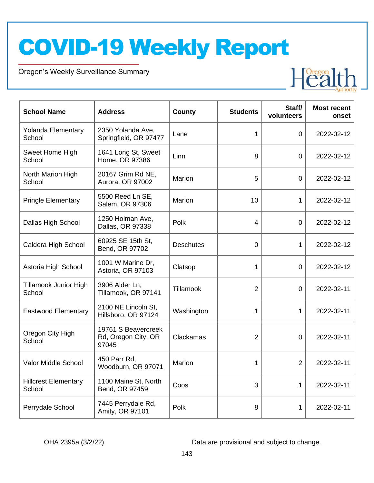Oregon's Weekly Surveillance Summary

Novel Coronavirus (COVID-19)



| <b>School Name</b>                     | <b>Address</b>                                      | <b>County</b>    | <b>Students</b> | Staff/<br>volunteers | <b>Most recent</b><br>onset |
|----------------------------------------|-----------------------------------------------------|------------------|-----------------|----------------------|-----------------------------|
| <b>Yolanda Elementary</b><br>School    | 2350 Yolanda Ave,<br>Springfield, OR 97477          | Lane             | 1               | 0                    | 2022-02-12                  |
| Sweet Home High<br>School              | 1641 Long St, Sweet<br>Home, OR 97386               | Linn             | 8               | $\overline{0}$       | 2022-02-12                  |
| North Marion High<br>School            | 20167 Grim Rd NE,<br>Aurora, OR 97002               | Marion           | 5               | $\overline{0}$       | 2022-02-12                  |
| <b>Pringle Elementary</b>              | 5500 Reed Ln SE,<br>Salem, OR 97306                 | Marion           | 10              | 1                    | 2022-02-12                  |
| Dallas High School                     | 1250 Holman Ave,<br>Dallas, OR 97338                | Polk             | 4               | 0                    | 2022-02-12                  |
| Caldera High School                    | 60925 SE 15th St,<br>Bend, OR 97702                 | <b>Deschutes</b> | 0               | $\mathbf 1$          | 2022-02-12                  |
| Astoria High School                    | 1001 W Marine Dr,<br>Astoria, OR 97103              | Clatsop          | 1               | $\overline{0}$       | 2022-02-12                  |
| <b>Tillamook Junior High</b><br>School | 3906 Alder Ln,<br>Tillamook, OR 97141               | Tillamook        | $\overline{2}$  | 0                    | 2022-02-11                  |
| <b>Eastwood Elementary</b>             | 2100 NE Lincoln St.<br>Hillsboro, OR 97124          | Washington       | 1               | 1                    | 2022-02-11                  |
| Oregon City High<br>School             | 19761 S Beavercreek<br>Rd, Oregon City, OR<br>97045 | Clackamas        | $\overline{2}$  | $\overline{0}$       | 2022-02-11                  |
| Valor Middle School                    | 450 Parr Rd,<br>Woodburn, OR 97071                  | Marion           | 1               | $\overline{2}$       | 2022-02-11                  |
| <b>Hillcrest Elementary</b><br>School  | 1100 Maine St, North<br>Bend, OR 97459              | Coos             | 3               | $\mathbf{1}$         | 2022-02-11                  |
| Perrydale School                       | 7445 Perrydale Rd,<br>Amity, OR 97101               | Polk             | 8               | 1                    | 2022-02-11                  |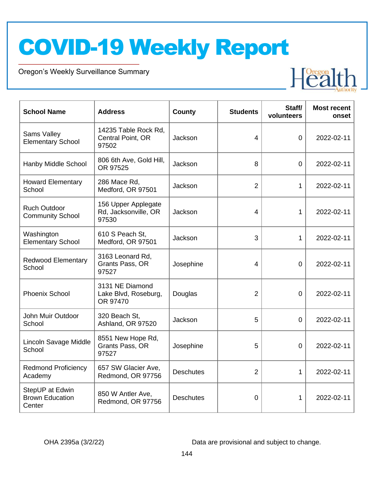Oregon's Weekly Surveillance Summary

Novel Coronavirus (COVID-19)



| <b>School Name</b>                                  | <b>Address</b>                                       | <b>County</b>    | <b>Students</b> | Staff/<br>volunteers | <b>Most recent</b><br>onset |
|-----------------------------------------------------|------------------------------------------------------|------------------|-----------------|----------------------|-----------------------------|
| Sams Valley<br><b>Elementary School</b>             | 14235 Table Rock Rd,<br>Central Point, OR<br>97502   | Jackson          | 4               | $\Omega$             | 2022-02-11                  |
| Hanby Middle School                                 | 806 6th Ave, Gold Hill,<br>OR 97525                  | Jackson          | 8               | $\overline{0}$       | 2022-02-11                  |
| <b>Howard Elementary</b><br>School                  | 286 Mace Rd,<br>Medford, OR 97501                    | Jackson          | $\overline{2}$  | 1                    | 2022-02-11                  |
| <b>Ruch Outdoor</b><br><b>Community School</b>      | 156 Upper Applegate<br>Rd, Jacksonville, OR<br>97530 | Jackson          | 4               | $\mathbf{1}$         | 2022-02-11                  |
| Washington<br><b>Elementary School</b>              | 610 S Peach St.<br>Medford, OR 97501                 | Jackson          | 3               | 1                    | 2022-02-11                  |
| <b>Redwood Elementary</b><br>School                 | 3163 Leonard Rd,<br>Grants Pass, OR<br>97527         | Josephine        | 4               | 0                    | 2022-02-11                  |
| <b>Phoenix School</b>                               | 3131 NE Diamond<br>Lake Blvd, Roseburg,<br>OR 97470  | Douglas          | $\overline{2}$  | $\overline{0}$       | 2022-02-11                  |
| John Muir Outdoor<br>School                         | 320 Beach St,<br>Ashland, OR 97520                   | Jackson          | 5               | 0                    | 2022-02-11                  |
| Lincoln Savage Middle<br>School                     | 8551 New Hope Rd,<br>Grants Pass, OR<br>97527        | Josephine        | 5               | $\Omega$             | 2022-02-11                  |
| <b>Redmond Proficiency</b><br>Academy               | 657 SW Glacier Ave,<br>Redmond, OR 97756             | <b>Deschutes</b> | $\overline{2}$  | $\mathbf{1}$         | 2022-02-11                  |
| StepUP at Edwin<br><b>Brown Education</b><br>Center | 850 W Antler Ave,<br>Redmond, OR 97756               | <b>Deschutes</b> | 0               | 1                    | 2022-02-11                  |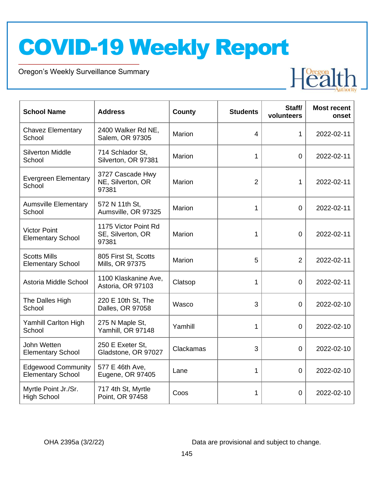Oregon's Weekly Surveillance Summary

Novel Coronavirus (COVID-19)



| <b>School Name</b>                                    | <b>Address</b>                                     | County    | <b>Students</b> | Staff/<br>volunteers | <b>Most recent</b><br>onset |
|-------------------------------------------------------|----------------------------------------------------|-----------|-----------------|----------------------|-----------------------------|
| <b>Chavez Elementary</b><br>School                    | 2400 Walker Rd NE,<br>Salem, OR 97305              | Marion    | 4               | 1                    | 2022-02-11                  |
| <b>Silverton Middle</b><br>School                     | 714 Schlador St,<br>Silverton, OR 97381            | Marion    | 1               | $\overline{0}$       | 2022-02-11                  |
| <b>Evergreen Elementary</b><br>School                 | 3727 Cascade Hwy<br>NE, Silverton, OR<br>97381     | Marion    | $\overline{2}$  | 1                    | 2022-02-11                  |
| <b>Aumsville Elementary</b><br>School                 | 572 N 11th St,<br>Aumsville, OR 97325              | Marion    | 1               | $\mathbf 0$          | 2022-02-11                  |
| <b>Victor Point</b><br><b>Elementary School</b>       | 1175 Victor Point Rd<br>SE, Silverton, OR<br>97381 | Marion    | 1               | $\overline{0}$       | 2022-02-11                  |
| <b>Scotts Mills</b><br><b>Elementary School</b>       | 805 First St, Scotts<br>Mills, OR 97375            | Marion    | 5               | $\overline{2}$       | 2022-02-11                  |
| Astoria Middle School                                 | 1100 Klaskanine Ave,<br>Astoria, OR 97103          | Clatsop   | 1               | $\overline{0}$       | 2022-02-11                  |
| The Dalles High<br>School                             | 220 E 10th St, The<br>Dalles, OR 97058             | Wasco     | 3               | $\overline{0}$       | 2022-02-10                  |
| <b>Yamhill Carlton High</b><br>School                 | 275 N Maple St,<br>Yamhill, OR 97148               | Yamhill   | 1               | $\overline{0}$       | 2022-02-10                  |
| John Wetten<br><b>Elementary School</b>               | 250 E Exeter St,<br>Gladstone, OR 97027            | Clackamas | 3               | 0                    | 2022-02-10                  |
| <b>Edgewood Community</b><br><b>Elementary School</b> | 577 E 46th Ave,<br>Eugene, OR 97405                | Lane      | 1               | $\overline{0}$       | 2022-02-10                  |
| Myrtle Point Jr./Sr.<br><b>High School</b>            | 717 4th St, Myrtle<br>Point, OR 97458              | Coos      | 1               | $\overline{0}$       | 2022-02-10                  |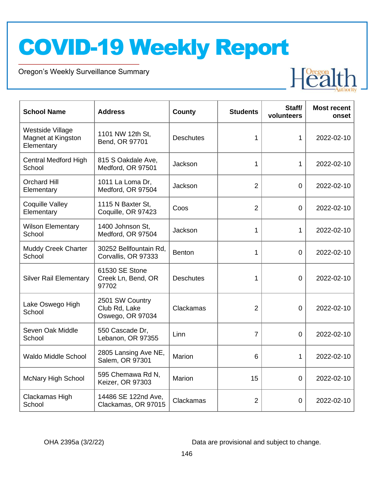Oregon's Weekly Surveillance Summary

Novel Coronavirus (COVID-19)



| <b>School Name</b>                                   | <b>Address</b>                                       | <b>County</b>    | <b>Students</b> | Staff/<br>volunteers | <b>Most recent</b><br>onset |
|------------------------------------------------------|------------------------------------------------------|------------------|-----------------|----------------------|-----------------------------|
| Westside Village<br>Magnet at Kingston<br>Elementary | 1101 NW 12th St,<br>Bend, OR 97701                   | <b>Deschutes</b> | 1               | 1                    | 2022-02-10                  |
| <b>Central Medford High</b><br>School                | 815 S Oakdale Ave,<br>Medford, OR 97501              | Jackson          | 1               | 1                    | 2022-02-10                  |
| <b>Orchard Hill</b><br>Elementary                    | 1011 La Loma Dr,<br>Medford, OR 97504                | Jackson          | $\overline{2}$  | $\overline{0}$       | 2022-02-10                  |
| <b>Coquille Valley</b><br>Elementary                 | 1115 N Baxter St,<br>Coquille, OR 97423              | Coos             | $\overline{2}$  | $\overline{0}$       | 2022-02-10                  |
| <b>Wilson Elementary</b><br>School                   | 1400 Johnson St,<br>Medford, OR 97504                | Jackson          | 1               | 1                    | 2022-02-10                  |
| <b>Muddy Creek Charter</b><br>School                 | 30252 Bellfountain Rd,<br>Corvallis, OR 97333        | <b>Benton</b>    | 1               | $\overline{0}$       | 2022-02-10                  |
| <b>Silver Rail Elementary</b>                        | 61530 SE Stone<br>Creek Ln, Bend, OR<br>97702        | <b>Deschutes</b> | 1               | $\Omega$             | 2022-02-10                  |
| Lake Oswego High<br>School                           | 2501 SW Country<br>Club Rd, Lake<br>Oswego, OR 97034 | Clackamas        | $\overline{2}$  | $\mathbf 0$          | 2022-02-10                  |
| Seven Oak Middle<br>School                           | 550 Cascade Dr,<br>Lebanon, OR 97355                 | Linn             | $\overline{7}$  | $\mathbf 0$          | 2022-02-10                  |
| <b>Waldo Middle School</b>                           | 2805 Lansing Ave NE,<br>Salem, OR 97301              | Marion           | 6               | 1                    | 2022-02-10                  |
| <b>McNary High School</b>                            | 595 Chemawa Rd N,<br>Keizer, OR 97303                | Marion           | 15              | 0                    | 2022-02-10                  |
| Clackamas High<br>School                             | 14486 SE 122nd Ave,<br>Clackamas, OR 97015           | Clackamas        | $\overline{2}$  | $\mathbf 0$          | 2022-02-10                  |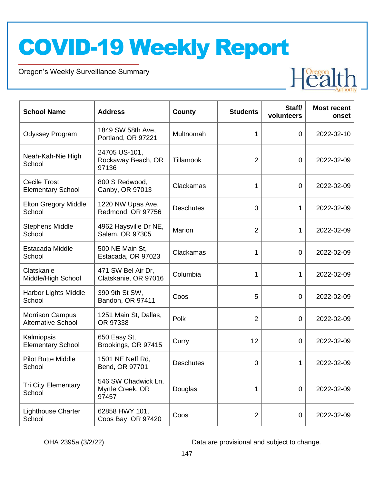Oregon's Weekly Surveillance Summary

Novel Coronavirus (COVID-19)



| <b>School Name</b>                                  | <b>Address</b>                                   | <b>County</b>    | <b>Students</b> | Staff/<br>volunteers | <b>Most recent</b><br>onset |
|-----------------------------------------------------|--------------------------------------------------|------------------|-----------------|----------------------|-----------------------------|
| <b>Odyssey Program</b>                              | 1849 SW 58th Ave,<br>Portland, OR 97221          | Multnomah        | 1               | $\overline{0}$       | 2022-02-10                  |
| Neah-Kah-Nie High<br>School                         | 24705 US-101,<br>Rockaway Beach, OR<br>97136     | Tillamook        | $\overline{2}$  | $\overline{0}$       | 2022-02-09                  |
| <b>Cecile Trost</b><br><b>Elementary School</b>     | 800 S Redwood,<br>Canby, OR 97013                | Clackamas        | 1               | $\overline{0}$       | 2022-02-09                  |
| <b>Elton Gregory Middle</b><br>School               | 1220 NW Upas Ave,<br>Redmond, OR 97756           | <b>Deschutes</b> | $\overline{0}$  | 1                    | 2022-02-09                  |
| <b>Stephens Middle</b><br>School                    | 4962 Haysville Dr NE,<br>Salem, OR 97305         | Marion           | $\overline{2}$  | 1                    | 2022-02-09                  |
| Estacada Middle<br>School                           | 500 NE Main St,<br>Estacada, OR 97023            | Clackamas        | 1               | $\overline{0}$       | 2022-02-09                  |
| Clatskanie<br>Middle/High School                    | 471 SW Bel Air Dr,<br>Clatskanie, OR 97016       | Columbia         | 1               | 1                    | 2022-02-09                  |
| Harbor Lights Middle<br>School                      | 390 9th St SW,<br>Bandon, OR 97411               | Coos             | 5               | $\overline{0}$       | 2022-02-09                  |
| <b>Morrison Campus</b><br><b>Alternative School</b> | 1251 Main St, Dallas,<br>OR 97338                | Polk             | $\overline{2}$  | $\overline{0}$       | 2022-02-09                  |
| Kalmiopsis<br><b>Elementary School</b>              | 650 Easy St,<br>Brookings, OR 97415              | Curry            | 12              | $\overline{0}$       | 2022-02-09                  |
| <b>Pilot Butte Middle</b><br>School                 | 1501 NE Neff Rd,<br>Bend, OR 97701               | <b>Deschutes</b> | 0               | 1                    | 2022-02-09                  |
| <b>Tri City Elementary</b><br>School                | 546 SW Chadwick Ln,<br>Myrtle Creek, OR<br>97457 | Douglas          | 1               | $\overline{0}$       | 2022-02-09                  |
| <b>Lighthouse Charter</b><br>School                 | 62858 HWY 101,<br>Coos Bay, OR 97420             | Coos             | $\overline{2}$  | $\overline{0}$       | 2022-02-09                  |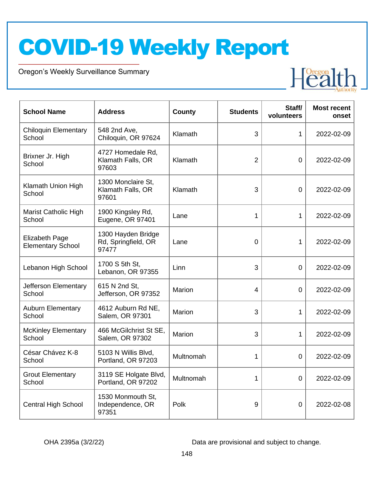Oregon's Weekly Surveillance Summary

Novel Coronavirus (COVID-19)



| <b>School Name</b>                                | <b>Address</b>                                     | <b>County</b> | <b>Students</b> | Staff/<br>volunteers | <b>Most recent</b><br>onset |
|---------------------------------------------------|----------------------------------------------------|---------------|-----------------|----------------------|-----------------------------|
| <b>Chiloquin Elementary</b><br>School             | 548 2nd Ave,<br>Chiloquin, OR 97624                | Klamath       | 3               | 1                    | 2022-02-09                  |
| Brixner Jr. High<br>School                        | 4727 Homedale Rd,<br>Klamath Falls, OR<br>97603    | Klamath       | $\overline{2}$  | $\overline{0}$       | 2022-02-09                  |
| Klamath Union High<br>School                      | 1300 Monclaire St,<br>Klamath Falls, OR<br>97601   | Klamath       | 3               | $\overline{0}$       | 2022-02-09                  |
| Marist Catholic High<br>School                    | 1900 Kingsley Rd,<br>Eugene, OR 97401              | Lane          | 1               | 1                    | 2022-02-09                  |
| <b>Elizabeth Page</b><br><b>Elementary School</b> | 1300 Hayden Bridge<br>Rd, Springfield, OR<br>97477 | Lane          | $\Omega$        | 1                    | 2022-02-09                  |
| Lebanon High School                               | 1700 S 5th St,<br>Lebanon, OR 97355                | Linn          | 3               | $\overline{0}$       | 2022-02-09                  |
| Jefferson Elementary<br>School                    | 615 N 2nd St,<br>Jefferson, OR 97352               | Marion        | 4               | 0                    | 2022-02-09                  |
| <b>Auburn Elementary</b><br>School                | 4612 Auburn Rd NE,<br>Salem, OR 97301              | Marion        | 3               | 1                    | 2022-02-09                  |
| <b>McKinley Elementary</b><br>School              | 466 McGilchrist St SE,<br>Salem, OR 97302          | Marion        | 3               | 1                    | 2022-02-09                  |
| César Chávez K-8<br>School                        | 5103 N Willis Blvd,<br>Portland, OR 97203          | Multnomah     | 1               | 0                    | 2022-02-09                  |
| <b>Grout Elementary</b><br>School                 | 3119 SE Holgate Blvd,<br>Portland, OR 97202        | Multnomah     | 1               | 0                    | 2022-02-09                  |
| <b>Central High School</b>                        | 1530 Monmouth St,<br>Independence, OR<br>97351     | Polk          | 9               | $\mathbf 0$          | 2022-02-08                  |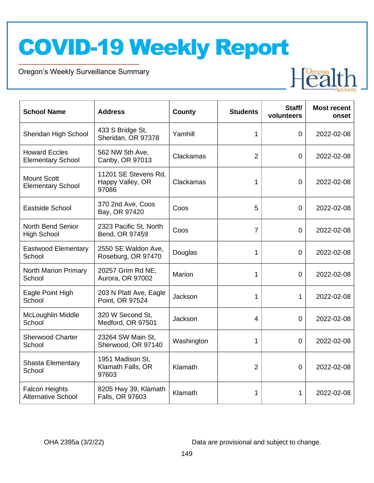Oregon's Weekly Surveillance Summary

Novel Coronavirus (COVID-19)



| <b>School Name</b>                                 | <b>Address</b>                                    | County     | <b>Students</b> | Staff/<br>volunteers | <b>Most recent</b><br>onset |
|----------------------------------------------------|---------------------------------------------------|------------|-----------------|----------------------|-----------------------------|
| Sheridan High School                               | 433 S Bridge St,<br>Sheridan, OR 97378            | Yamhill    | 1               | $\overline{0}$       | 2022-02-08                  |
| <b>Howard Eccles</b><br><b>Elementary School</b>   | 562 NW 5th Ave,<br>Canby, OR 97013                | Clackamas  | $\overline{2}$  | $\overline{0}$       | 2022-02-08                  |
| <b>Mount Scott</b><br><b>Elementary School</b>     | 11201 SE Stevens Rd,<br>Happy Valley, OR<br>97086 | Clackamas  | 1               | $\mathbf 0$          | 2022-02-08                  |
| Eastside School                                    | 370 2nd Ave, Coos<br>Bay, OR 97420                | Coos       | 5               | $\overline{0}$       | 2022-02-08                  |
| <b>North Bend Senior</b><br><b>High School</b>     | 2323 Pacific St, North<br>Bend, OR 97459          | Coos       | $\overline{7}$  | $\overline{0}$       | 2022-02-08                  |
| <b>Eastwood Elementary</b><br>School               | 2550 SE Waldon Ave,<br>Roseburg, OR 97470         | Douglas    | 1               | $\mathbf 0$          | 2022-02-08                  |
| <b>North Marion Primary</b><br>School              | 20257 Grim Rd NE,<br>Aurora, OR 97002             | Marion     | 1               | $\overline{0}$       | 2022-02-08                  |
| Eagle Point High<br>School                         | 203 N Platt Ave, Eagle<br>Point, OR 97524         | Jackson    | 1               | 1                    | 2022-02-08                  |
| McLoughlin Middle<br>School                        | 320 W Second St.<br>Medford, OR 97501             | Jackson    | $\overline{4}$  | $\overline{0}$       | 2022-02-08                  |
| <b>Sherwood Charter</b><br>School                  | 23264 SW Main St,<br>Sherwood, OR 97140           | Washington | 1               | $\mathbf 0$          | 2022-02-08                  |
| Shasta Elementary<br>School                        | 1951 Madison St,<br>Klamath Falls, OR<br>97603    | Klamath    | $\overline{2}$  | $\overline{0}$       | 2022-02-08                  |
| <b>Falcon Heights</b><br><b>Alternative School</b> | 8205 Hwy 39, Klamath<br>Falls, OR 97603           | Klamath    | 1               | 1                    | 2022-02-08                  |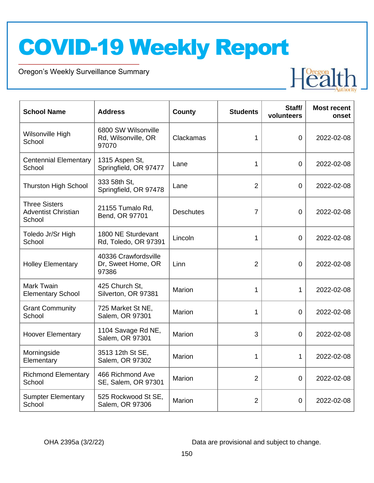Oregon's Weekly Surveillance Summary

Novel Coronavirus (COVID-19)



| <b>School Name</b>                                           | <b>Address</b>                                      | County           | <b>Students</b> | Staff/<br>volunteers | <b>Most recent</b><br>onset |
|--------------------------------------------------------------|-----------------------------------------------------|------------------|-----------------|----------------------|-----------------------------|
| Wilsonville High<br>School                                   | 6800 SW Wilsonville<br>Rd, Wilsonville, OR<br>97070 | Clackamas        | 1               | $\overline{0}$       | 2022-02-08                  |
| <b>Centennial Elementary</b><br>School                       | 1315 Aspen St,<br>Springfield, OR 97477             | Lane             | 1               | 0                    | 2022-02-08                  |
| <b>Thurston High School</b>                                  | 333 58th St,<br>Springfield, OR 97478               | Lane             | $\overline{2}$  | $\overline{0}$       | 2022-02-08                  |
| <b>Three Sisters</b><br><b>Adventist Christian</b><br>School | 21155 Tumalo Rd,<br>Bend, OR 97701                  | <b>Deschutes</b> | $\overline{7}$  | 0                    | 2022-02-08                  |
| Toledo Jr/Sr High<br>School                                  | 1800 NE Sturdevant<br>Rd, Toledo, OR 97391          | Lincoln          | 1               | $\overline{0}$       | 2022-02-08                  |
| <b>Holley Elementary</b>                                     | 40336 Crawfordsville<br>Dr, Sweet Home, OR<br>97386 | Linn             | $\overline{2}$  | 0                    | 2022-02-08                  |
| <b>Mark Twain</b><br><b>Elementary School</b>                | 425 Church St,<br>Silverton, OR 97381               | Marion           | 1               | $\mathbf{1}$         | 2022-02-08                  |
| <b>Grant Community</b><br>School                             | 725 Market St NE,<br>Salem, OR 97301                | Marion           | 1               | $\overline{0}$       | 2022-02-08                  |
| <b>Hoover Elementary</b>                                     | 1104 Savage Rd NE,<br>Salem, OR 97301               | Marion           | 3               | 0                    | 2022-02-08                  |
| Morningside<br>Elementary                                    | 3513 12th St SE,<br>Salem, OR 97302                 | Marion           | 1               | 1                    | 2022-02-08                  |
| <b>Richmond Elementary</b><br>School                         | 466 Richmond Ave<br>SE, Salem, OR 97301             | Marion           | $\overline{2}$  | $\overline{0}$       | 2022-02-08                  |
| <b>Sumpter Elementary</b><br>School                          | 525 Rockwood St SE,<br>Salem, OR 97306              | Marion           | $\overline{2}$  | $\overline{0}$       | 2022-02-08                  |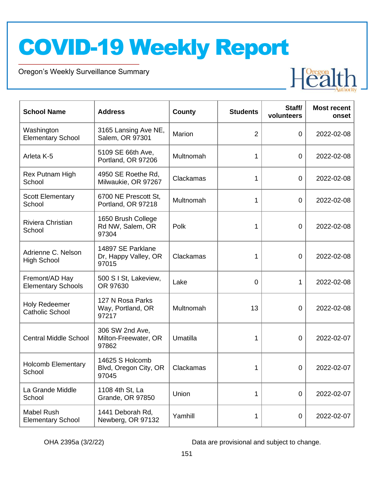Oregon's Weekly Surveillance Summary

Novel Coronavirus (COVID-19)



| <b>School Name</b>                             | <b>Address</b>                                     | <b>County</b> | <b>Students</b> | Staff/<br>volunteers | <b>Most recent</b><br>onset |
|------------------------------------------------|----------------------------------------------------|---------------|-----------------|----------------------|-----------------------------|
| Washington<br><b>Elementary School</b>         | 3165 Lansing Ave NE,<br>Salem, OR 97301            | Marion        | $\overline{2}$  | 0                    | 2022-02-08                  |
| Arleta K-5                                     | 5109 SE 66th Ave,<br>Portland, OR 97206            | Multnomah     | 1               | $\overline{0}$       | 2022-02-08                  |
| Rex Putnam High<br>School                      | 4950 SE Roethe Rd,<br>Milwaukie, OR 97267          | Clackamas     | 1               | $\mathbf 0$          | 2022-02-08                  |
| <b>Scott Elementary</b><br>School              | 6700 NE Prescott St,<br>Portland, OR 97218         | Multnomah     | 1               | $\mathbf 0$          | 2022-02-08                  |
| Riviera Christian<br>School                    | 1650 Brush College<br>Rd NW, Salem, OR<br>97304    | Polk          | 1               | $\overline{0}$       | 2022-02-08                  |
| Adrienne C. Nelson<br><b>High School</b>       | 14897 SE Parklane<br>Dr, Happy Valley, OR<br>97015 | Clackamas     | 1               | 0                    | 2022-02-08                  |
| Fremont/AD Hay<br><b>Elementary Schools</b>    | 500 S I St, Lakeview,<br>OR 97630                  | Lake          | 0               | 1                    | 2022-02-08                  |
| <b>Holy Redeemer</b><br><b>Catholic School</b> | 127 N Rosa Parks<br>Way, Portland, OR<br>97217     | Multnomah     | 13              | 0                    | 2022-02-08                  |
| <b>Central Middle School</b>                   | 306 SW 2nd Ave,<br>Milton-Freewater, OR<br>97862   | Umatilla      | 1               | 0                    | 2022-02-07                  |
| <b>Holcomb Elementary</b><br>School            | 14625 S Holcomb<br>Blvd, Oregon City, OR<br>97045  | Clackamas     | 1               | 0                    | 2022-02-07                  |
| La Grande Middle<br>School                     | 1108 4th St, La<br><b>Grande, OR 97850</b>         | Union         | 1               | $\overline{0}$       | 2022-02-07                  |
| Mabel Rush<br><b>Elementary School</b>         | 1441 Deborah Rd,<br>Newberg, OR 97132              | Yamhill       | 1               | 0                    | 2022-02-07                  |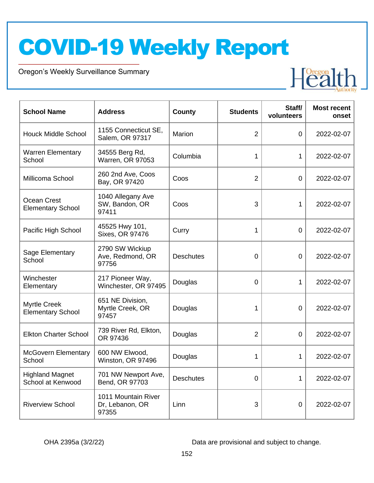Oregon's Weekly Surveillance Summary

Novel Coronavirus (COVID-19)



| <b>School Name</b>                              | <b>Address</b>                                  | <b>County</b>    | <b>Students</b> | Staff/<br>volunteers | <b>Most recent</b><br>onset |
|-------------------------------------------------|-------------------------------------------------|------------------|-----------------|----------------------|-----------------------------|
| <b>Houck Middle School</b>                      | 1155 Connecticut SE,<br>Salem, OR 97317         | Marion           | $\overline{2}$  | 0                    | 2022-02-07                  |
| <b>Warren Elementary</b><br>School              | 34555 Berg Rd,<br>Warren, OR 97053              | Columbia         | 1               | 1                    | 2022-02-07                  |
| Millicoma School                                | 260 2nd Ave, Coos<br>Bay, OR 97420              | Coos             | $\overline{2}$  | 0                    | 2022-02-07                  |
| Ocean Crest<br><b>Elementary School</b>         | 1040 Allegany Ave<br>SW, Bandon, OR<br>97411    | Coos             | 3               | 1                    | 2022-02-07                  |
| Pacific High School                             | 45525 Hwy 101,<br>Sixes, OR 97476               | Curry            | 1               | $\overline{0}$       | 2022-02-07                  |
| Sage Elementary<br>School                       | 2790 SW Wickiup<br>Ave, Redmond, OR<br>97756    | <b>Deschutes</b> | $\overline{0}$  | $\overline{0}$       | 2022-02-07                  |
| Winchester<br>Elementary                        | 217 Pioneer Way,<br>Winchester, OR 97495        | Douglas          | $\overline{0}$  | 1                    | 2022-02-07                  |
| <b>Myrtle Creek</b><br><b>Elementary School</b> | 651 NE Division,<br>Myrtle Creek, OR<br>97457   | Douglas          | 1               | 0                    | 2022-02-07                  |
| <b>Elkton Charter School</b>                    | 739 River Rd, Elkton,<br>OR 97436               | Douglas          | $\overline{2}$  | $\overline{0}$       | 2022-02-07                  |
| <b>McGovern Elementary</b><br>School            | 600 NW Elwood,<br>Winston, OR 97496             | Douglas          | 1               | 1                    | 2022-02-07                  |
| <b>Highland Magnet</b><br>School at Kenwood     | 701 NW Newport Ave,<br>Bend, OR 97703           | <b>Deschutes</b> | 0               | 1                    | 2022-02-07                  |
| <b>Riverview School</b>                         | 1011 Mountain River<br>Dr, Lebanon, OR<br>97355 | Linn             | 3               | $\mathbf 0$          | 2022-02-07                  |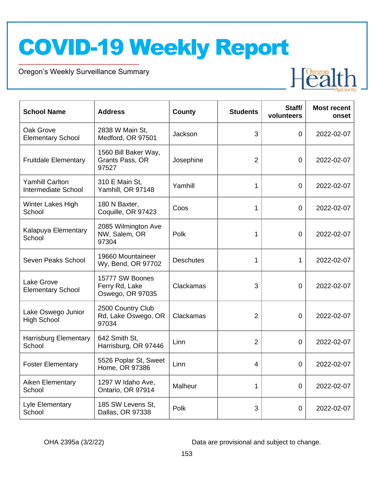Oregon's Weekly Surveillance Summary

Novel Coronavirus (COVID-19)



| <b>School Name</b>                                   | <b>Address</b>                                        | <b>County</b>    | <b>Students</b> | Staff/<br>volunteers | <b>Most recent</b><br>onset |
|------------------------------------------------------|-------------------------------------------------------|------------------|-----------------|----------------------|-----------------------------|
| Oak Grove<br><b>Elementary School</b>                | 2838 W Main St,<br>Medford, OR 97501                  | Jackson          | 3               | 0                    | 2022-02-07                  |
| <b>Fruitdale Elementary</b>                          | 1560 Bill Baker Way,<br>Grants Pass, OR<br>97527      | Josephine        | $\overline{2}$  | $\mathbf 0$          | 2022-02-07                  |
| <b>Yamhill Carlton</b><br><b>Intermediate School</b> | 310 E Main St,<br>Yamhill, OR 97148                   | Yamhill          | 1               | $\mathbf 0$          | 2022-02-07                  |
| Winter Lakes High<br>School                          | 180 N Baxter,<br>Coquille, OR 97423                   | Coos             | 1               | $\mathbf 0$          | 2022-02-07                  |
| Kalapuya Elementary<br>School                        | 2085 Wilmington Ave<br>NW, Salem, OR<br>97304         | Polk             | $\mathbf 1$     | 0                    | 2022-02-07                  |
| Seven Peaks School                                   | 19660 Mountaineer<br>Wy, Bend, OR 97702               | <b>Deschutes</b> | $\mathbf 1$     | 1                    | 2022-02-07                  |
| <b>Lake Grove</b><br><b>Elementary School</b>        | 15777 SW Boones<br>Ferry Rd, Lake<br>Oswego, OR 97035 | Clackamas        | 3               | $\mathbf 0$          | 2022-02-07                  |
| Lake Oswego Junior<br><b>High School</b>             | 2500 Country Club<br>Rd, Lake Oswego, OR<br>97034     | Clackamas        | $\overline{2}$  | 0                    | 2022-02-07                  |
| <b>Harrisburg Elementary</b><br>School               | 642 Smith St,<br>Harrisburg, OR 97446                 | Linn             | $\overline{2}$  | 0                    | 2022-02-07                  |
| <b>Foster Elementary</b>                             | 5526 Poplar St, Sweet<br>Home, OR 97386               | Linn             | 4               | $\mathbf 0$          | 2022-02-07                  |
| Aiken Elementary<br>School                           | 1297 W Idaho Ave,<br>Ontario, OR 97914                | Malheur          | 1               | 0                    | 2022-02-07                  |
| Lyle Elementary<br>School                            | 185 SW Levens St,<br>Dallas, OR 97338                 | Polk             | 3               | $\mathbf 0$          | 2022-02-07                  |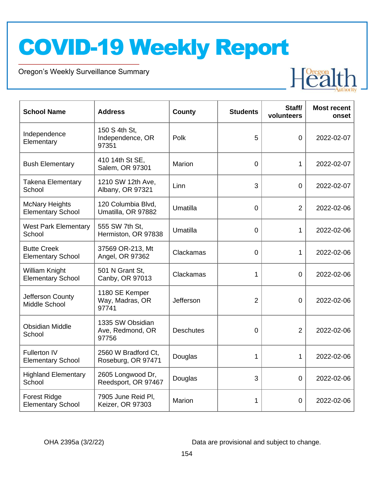Oregon's Weekly Surveillance Summary

Novel Coronavirus (COVID-19)



| <b>School Name</b>                                | <b>Address</b>                                | <b>County</b>    | <b>Students</b> | Staff/<br>volunteers | <b>Most recent</b><br>onset |
|---------------------------------------------------|-----------------------------------------------|------------------|-----------------|----------------------|-----------------------------|
| Independence<br>Elementary                        | 150 S 4th St,<br>Independence, OR<br>97351    | Polk             | 5               | $\overline{0}$       | 2022-02-07                  |
| <b>Bush Elementary</b>                            | 410 14th St SE,<br>Salem, OR 97301            | Marion           | $\overline{0}$  | $\mathbf{1}$         | 2022-02-07                  |
| Takena Elementary<br>School                       | 1210 SW 12th Ave,<br>Albany, OR 97321         | Linn             | 3               | $\overline{0}$       | 2022-02-07                  |
| <b>McNary Heights</b><br><b>Elementary School</b> | 120 Columbia Blvd,<br>Umatilla, OR 97882      | Umatilla         | $\overline{0}$  | 2                    | 2022-02-06                  |
| <b>West Park Elementary</b><br>School             | 555 SW 7th St.<br>Hermiston, OR 97838         | Umatilla         | $\overline{0}$  | 1                    | 2022-02-06                  |
| <b>Butte Creek</b><br><b>Elementary School</b>    | 37569 OR-213, Mt<br>Angel, OR 97362           | Clackamas        | $\Omega$        | 1                    | 2022-02-06                  |
| William Knight<br><b>Elementary School</b>        | 501 N Grant St.<br>Canby, OR 97013            | Clackamas        | 1               | $\overline{0}$       | 2022-02-06                  |
| Jefferson County<br>Middle School                 | 1180 SE Kemper<br>Way, Madras, OR<br>97741    | Jefferson        | $\overline{2}$  | $\overline{0}$       | 2022-02-06                  |
| <b>Obsidian Middle</b><br>School                  | 1335 SW Obsidian<br>Ave, Redmond, OR<br>97756 | <b>Deschutes</b> | 0               | $\overline{2}$       | 2022-02-06                  |
| <b>Fullerton IV</b><br><b>Elementary School</b>   | 2560 W Bradford Ct,<br>Roseburg, OR 97471     | Douglas          | 1               | 1                    | 2022-02-06                  |
| <b>Highland Elementary</b><br>School              | 2605 Longwood Dr,<br>Reedsport, OR 97467      | Douglas          | 3               | $\overline{0}$       | 2022-02-06                  |
| <b>Forest Ridge</b><br><b>Elementary School</b>   | 7905 June Reid Pl,<br>Keizer, OR 97303        | Marion           | 1               | 0                    | 2022-02-06                  |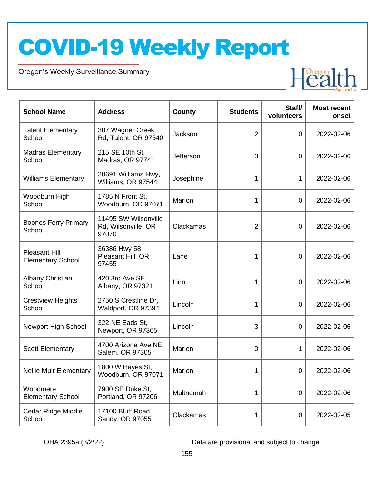Oregon's Weekly Surveillance Summary

Novel Coronavirus (COVID-19)



| <b>School Name</b>                               | <b>Address</b>                                       | County    | <b>Students</b> | Staff/<br>volunteers | <b>Most recent</b><br>onset |
|--------------------------------------------------|------------------------------------------------------|-----------|-----------------|----------------------|-----------------------------|
| <b>Talent Elementary</b><br>School               | 307 Wagner Creek<br>Rd, Talent, OR 97540             | Jackson   | $\overline{2}$  | $\mathbf 0$          | 2022-02-06                  |
| <b>Madras Elementary</b><br>School               | 215 SE 10th St,<br>Madras, OR 97741                  | Jefferson | 3               | $\mathbf 0$          | 2022-02-06                  |
| <b>Williams Elementary</b>                       | 20691 Williams Hwy,<br>Williams, OR 97544            | Josephine | 1               | 1                    | 2022-02-06                  |
| Woodburn High<br>School                          | 1785 N Front St,<br>Woodburn, OR 97071               | Marion    | 1               | $\mathbf 0$          | 2022-02-06                  |
| <b>Boones Ferry Primary</b><br>School            | 11495 SW Wilsonville<br>Rd, Wilsonville, OR<br>97070 | Clackamas | $\overline{2}$  | $\overline{0}$       | 2022-02-06                  |
| <b>Pleasant Hill</b><br><b>Elementary School</b> | 36386 Hwy 58,<br>Pleasant Hill, OR<br>97455          | Lane      | 1               | 0                    | 2022-02-06                  |
| Albany Christian<br>School                       | 420 3rd Ave SE,<br>Albany, OR 97321                  | Linn      | 1               | 0                    | 2022-02-06                  |
| <b>Crestview Heights</b><br>School               | 2750 S Crestline Dr,<br>Waldport, OR 97394           | Lincoln   | 1               | $\mathbf 0$          | 2022-02-06                  |
| <b>Newport High School</b>                       | 322 NE Eads St,<br>Newport, OR 97365                 | Lincoln   | 3               | 0                    | 2022-02-06                  |
| <b>Scott Elementary</b>                          | 4700 Arizona Ave NE,<br>Salem, OR 97305              | Marion    | 0               | 1                    | 2022-02-06                  |
| <b>Nellie Muir Elementary</b>                    | 1800 W Hayes St,<br>Woodburn, OR 97071               | Marion    | 1               | 0                    | 2022-02-06                  |
| Woodmere<br><b>Elementary School</b>             | 7900 SE Duke St,<br>Portland, OR 97206               | Multnomah | 1               | $\mathbf 0$          | 2022-02-06                  |
| Cedar Ridge Middle<br>School                     | 17100 Bluff Road,<br>Sandy, OR 97055                 | Clackamas | 1               | $\boldsymbol{0}$     | 2022-02-05                  |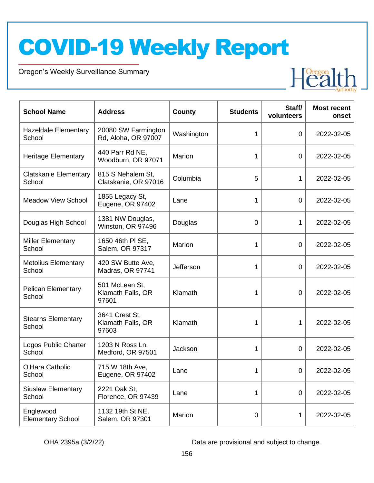Oregon's Weekly Surveillance Summary

Novel Coronavirus (COVID-19)



| <b>School Name</b>                     | <b>Address</b>                               | County     | <b>Students</b> | Staff/<br>volunteers | <b>Most recent</b><br>onset |
|----------------------------------------|----------------------------------------------|------------|-----------------|----------------------|-----------------------------|
| <b>Hazeldale Elementary</b><br>School  | 20080 SW Farmington<br>Rd, Aloha, OR 97007   | Washington | 1               | 0                    | 2022-02-05                  |
| <b>Heritage Elementary</b>             | 440 Parr Rd NE,<br>Woodburn, OR 97071        | Marion     | 1               | 0                    | 2022-02-05                  |
| <b>Clatskanie Elementary</b><br>School | 815 S Nehalem St,<br>Clatskanie, OR 97016    | Columbia   | 5               | 1                    | 2022-02-05                  |
| <b>Meadow View School</b>              | 1855 Legacy St,<br>Eugene, OR 97402          | Lane       | 1               | $\overline{0}$       | 2022-02-05                  |
| Douglas High School                    | 1381 NW Douglas,<br>Winston, OR 97496        | Douglas    | $\overline{0}$  | 1                    | 2022-02-05                  |
| <b>Miller Elementary</b><br>School     | 1650 46th PI SE,<br>Salem, OR 97317          | Marion     | 1               | $\mathbf 0$          | 2022-02-05                  |
| <b>Metolius Elementary</b><br>School   | 420 SW Butte Ave,<br>Madras, OR 97741        | Jefferson  | 1               | $\overline{0}$       | 2022-02-05                  |
| <b>Pelican Elementary</b><br>School    | 501 McLean St,<br>Klamath Falls, OR<br>97601 | Klamath    | 1               | $\overline{0}$       | 2022-02-05                  |
| <b>Stearns Elementary</b><br>School    | 3641 Crest St,<br>Klamath Falls, OR<br>97603 | Klamath    | 1               | 1                    | 2022-02-05                  |
| Logos Public Charter<br>School         | 1203 N Ross Ln,<br>Medford, OR 97501         | Jackson    | 1               | 0                    | 2022-02-05                  |
| O'Hara Catholic<br>School              | 715 W 18th Ave,<br>Eugene, OR 97402          | Lane       | 1               | 0                    | 2022-02-05                  |
| <b>Siuslaw Elementary</b><br>School    | 2221 Oak St,<br>Florence, OR 97439           | Lane       | 1               | $\overline{0}$       | 2022-02-05                  |
| Englewood<br><b>Elementary School</b>  | 1132 19th St NE,<br>Salem, OR 97301          | Marion     | $\overline{0}$  | 1                    | 2022-02-05                  |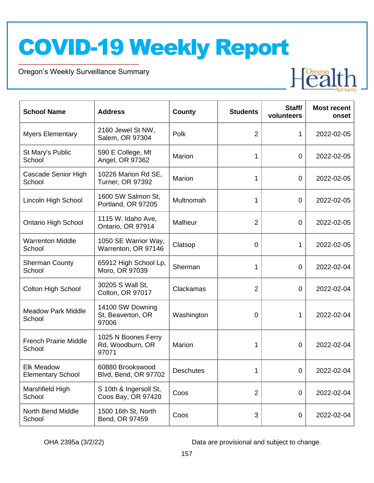Oregon's Weekly Surveillance Summary

Novel Coronavirus (COVID-19)



| <b>School Name</b>                            | <b>Address</b>                                   | County           | <b>Students</b> | Staff/<br>volunteers | <b>Most recent</b><br>onset |
|-----------------------------------------------|--------------------------------------------------|------------------|-----------------|----------------------|-----------------------------|
| <b>Myers Elementary</b>                       | 2160 Jewel St NW,<br>Salem, OR 97304             | Polk             | $\overline{2}$  | 1                    | 2022-02-05                  |
| St Mary's Public<br>School                    | 590 E College, Mt<br>Angel, OR 97362             | Marion           | 1               | $\overline{0}$       | 2022-02-05                  |
| Cascade Senior High<br>School                 | 10226 Marion Rd SE,<br><b>Turner, OR 97392</b>   | Marion           | 1               | 0                    | 2022-02-05                  |
| Lincoln High School                           | 1600 SW Salmon St,<br>Portland, OR 97205         | Multnomah        | 1               | $\mathbf 0$          | 2022-02-05                  |
| <b>Ontario High School</b>                    | 1115 W. Idaho Ave,<br>Ontario, OR 97914          | Malheur          | $\overline{2}$  | $\mathbf 0$          | 2022-02-05                  |
| <b>Warrenton Middle</b><br>School             | 1050 SE Warrior Way,<br>Warrenton, OR 97146      | Clatsop          | $\mathbf 0$     | 1                    | 2022-02-05                  |
| <b>Sherman County</b><br>School               | 65912 High School Lp,<br>Moro, OR 97039          | Sherman          | 1               | $\mathbf 0$          | 2022-02-04                  |
| <b>Colton High School</b>                     | 30205 S Wall St,<br>Colton, OR 97017             | Clackamas        | $\overline{2}$  | 0                    | 2022-02-04                  |
| <b>Meadow Park Middle</b><br>School           | 14100 SW Downing<br>St, Beaverton, OR<br>97006   | Washington       | $\mathbf 0$     | 1                    | 2022-02-04                  |
| <b>French Prairie Middle</b><br>School        | 1025 N Boones Ferry<br>Rd, Woodburn, OR<br>97071 | Marion           | 1               | $\overline{0}$       | 2022-02-04                  |
| <b>Elk Meadow</b><br><b>Elementary School</b> | 60880 Brookswood<br><b>Blvd, Bend, OR 97702</b>  | <b>Deschutes</b> | 1               | $\mathbf 0$          | 2022-02-04                  |
| Marshfield High<br>School                     | S 10th & Ingersoll St,<br>Coos Bay, OR 97420     | Coos             | $\overline{2}$  | 0                    | 2022-02-04                  |
| North Bend Middle<br>School                   | 1500 16th St, North<br>Bend, OR 97459            | Coos             | 3               | 0                    | 2022-02-04                  |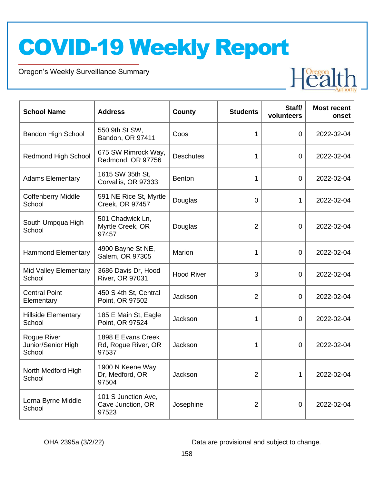Oregon's Weekly Surveillance Summary

Novel Coronavirus (COVID-19)



| <b>School Name</b>                          | <b>Address</b>                                     | <b>County</b>     | <b>Students</b> | Staff/<br>volunteers | <b>Most recent</b><br>onset |
|---------------------------------------------|----------------------------------------------------|-------------------|-----------------|----------------------|-----------------------------|
| <b>Bandon High School</b>                   | 550 9th St SW,<br>Bandon, OR 97411                 | Coos              | 1               | 0                    | 2022-02-04                  |
| <b>Redmond High School</b>                  | 675 SW Rimrock Way,<br>Redmond, OR 97756           | <b>Deschutes</b>  | 1               | 0                    | 2022-02-04                  |
| <b>Adams Elementary</b>                     | 1615 SW 35th St.<br>Corvallis, OR 97333            | <b>Benton</b>     | 1               | $\overline{0}$       | 2022-02-04                  |
| <b>Coffenberry Middle</b><br>School         | 591 NE Rice St, Myrtle<br>Creek, OR 97457          | Douglas           | $\mathbf 0$     | 1                    | 2022-02-04                  |
| South Umpqua High<br>School                 | 501 Chadwick Ln,<br>Myrtle Creek, OR<br>97457      | Douglas           | $\overline{2}$  | $\mathbf 0$          | 2022-02-04                  |
| <b>Hammond Elementary</b>                   | 4900 Bayne St NE,<br>Salem, OR 97305               | Marion            | 1               | 0                    | 2022-02-04                  |
| <b>Mid Valley Elementary</b><br>School      | 3686 Davis Dr, Hood<br>River, OR 97031             | <b>Hood River</b> | 3               | $\Omega$             | 2022-02-04                  |
| <b>Central Point</b><br>Elementary          | 450 S 4th St, Central<br>Point, OR 97502           | Jackson           | $\overline{2}$  | $\overline{0}$       | 2022-02-04                  |
| <b>Hillside Elementary</b><br>School        | 185 E Main St, Eagle<br>Point, OR 97524            | Jackson           | 1               | 0                    | 2022-02-04                  |
| Rogue River<br>Junior/Senior High<br>School | 1898 E Evans Creek<br>Rd, Rogue River, OR<br>97537 | Jackson           | 1               | $\overline{0}$       | 2022-02-04                  |
| North Medford High<br>School                | 1900 N Keene Way<br>Dr, Medford, OR<br>97504       | Jackson           | $\overline{2}$  | $\mathbf{1}$         | 2022-02-04                  |
| Lorna Byrne Middle<br>School                | 101 S Junction Ave,<br>Cave Junction, OR<br>97523  | Josephine         | $\overline{2}$  | $\overline{0}$       | 2022-02-04                  |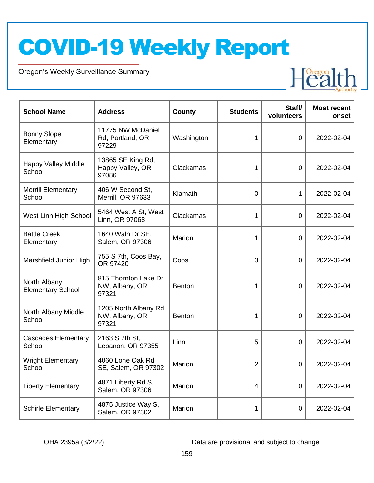Oregon's Weekly Surveillance Summary

Novel Coronavirus (COVID-19)



| <b>School Name</b>                       | <b>Address</b>                                  | <b>County</b> | <b>Students</b> | Staff/<br>volunteers | <b>Most recent</b><br>onset |
|------------------------------------------|-------------------------------------------------|---------------|-----------------|----------------------|-----------------------------|
| <b>Bonny Slope</b><br>Elementary         | 11775 NW McDaniel<br>Rd, Portland, OR<br>97229  | Washington    | 1               | 0                    | 2022-02-04                  |
| <b>Happy Valley Middle</b><br>School     | 13865 SE King Rd,<br>Happy Valley, OR<br>97086  | Clackamas     | 1               | 0                    | 2022-02-04                  |
| <b>Merrill Elementary</b><br>School      | 406 W Second St.<br>Merrill, OR 97633           | Klamath       | $\mathbf 0$     | 1                    | 2022-02-04                  |
| West Linn High School                    | 5464 West A St, West<br>Linn, OR 97068          | Clackamas     | 1               | $\overline{0}$       | 2022-02-04                  |
| <b>Battle Creek</b><br>Elementary        | 1640 Waln Dr SE,<br>Salem, OR 97306             | Marion        | 1               | 0                    | 2022-02-04                  |
| Marshfield Junior High                   | 755 S 7th, Coos Bay,<br>OR 97420                | Coos          | 3               | 0                    | 2022-02-04                  |
| North Albany<br><b>Elementary School</b> | 815 Thornton Lake Dr<br>NW, Albany, OR<br>97321 | <b>Benton</b> | $\mathbf{1}$    | 0                    | 2022-02-04                  |
| North Albany Middle<br>School            | 1205 North Albany Rd<br>NW, Albany, OR<br>97321 | Benton        | 1               | $\overline{0}$       | 2022-02-04                  |
| <b>Cascades Elementary</b><br>School     | 2163 S 7th St,<br>Lebanon, OR 97355             | Linn          | 5               | $\overline{0}$       | 2022-02-04                  |
| <b>Wright Elementary</b><br>School       | 4060 Lone Oak Rd<br>SE, Salem, OR 97302         | Marion        | $\overline{2}$  | 0                    | 2022-02-04                  |
| <b>Liberty Elementary</b>                | 4871 Liberty Rd S,<br>Salem, OR 97306           | Marion        | 4               | 0                    | 2022-02-04                  |
| <b>Schirle Elementary</b>                | 4875 Justice Way S,<br>Salem, OR 97302          | Marion        | 1               | 0                    | 2022-02-04                  |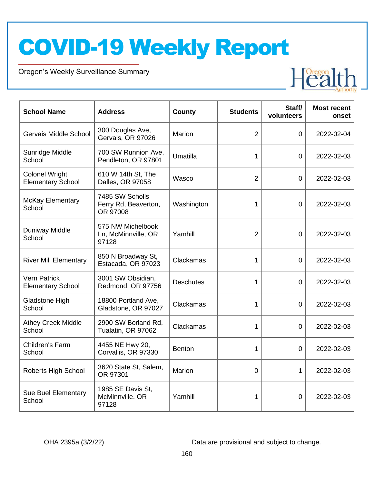Oregon's Weekly Surveillance Summary

Novel Coronavirus (COVID-19)



| <b>School Name</b>                                | <b>Address</b>                                      | <b>County</b>    | <b>Students</b> | Staff/<br>volunteers | <b>Most recent</b><br>onset |
|---------------------------------------------------|-----------------------------------------------------|------------------|-----------------|----------------------|-----------------------------|
| Gervais Middle School                             | 300 Douglas Ave,<br>Gervais, OR 97026               | Marion           | $\overline{2}$  | $\overline{0}$       | 2022-02-04                  |
| Sunridge Middle<br>School                         | 700 SW Runnion Ave,<br>Pendleton, OR 97801          | Umatilla         | $\mathbf{1}$    | $\overline{0}$       | 2022-02-03                  |
| <b>Colonel Wright</b><br><b>Elementary School</b> | 610 W 14th St, The<br>Dalles, OR 97058              | Wasco            | $\overline{2}$  | $\Omega$             | 2022-02-03                  |
| <b>McKay Elementary</b><br>School                 | 7485 SW Scholls<br>Ferry Rd, Beaverton,<br>OR 97008 | Washington       | 1               | $\overline{0}$       | 2022-02-03                  |
| <b>Duniway Middle</b><br>School                   | 575 NW Michelbook<br>Ln, McMinnville, OR<br>97128   | Yamhill          | $\overline{2}$  | $\overline{0}$       | 2022-02-03                  |
| <b>River Mill Elementary</b>                      | 850 N Broadway St,<br>Estacada, OR 97023            | Clackamas        | 1               | $\Omega$             | 2022-02-03                  |
| <b>Vern Patrick</b><br><b>Elementary School</b>   | 3001 SW Obsidian,<br>Redmond, OR 97756              | <b>Deschutes</b> | 1               | $\overline{0}$       | 2022-02-03                  |
| Gladstone High<br>School                          | 18800 Portland Ave,<br>Gladstone, OR 97027          | Clackamas        | 1               | $\overline{0}$       | 2022-02-03                  |
| <b>Athey Creek Middle</b><br>School               | 2900 SW Borland Rd,<br>Tualatin, OR 97062           | Clackamas        | 1               | $\overline{0}$       | 2022-02-03                  |
| Children's Farm<br>School                         | 4455 NE Hwy 20,<br>Corvallis, OR 97330              | <b>Benton</b>    | 1               | $\overline{0}$       | 2022-02-03                  |
| Roberts High School                               | 3620 State St, Salem,<br>OR 97301                   | Marion           | $\overline{0}$  | 1                    | 2022-02-03                  |
| <b>Sue Buel Elementary</b><br>School              | 1985 SE Davis St,<br>McMinnville, OR<br>97128       | Yamhill          | 1               | $\overline{0}$       | 2022-02-03                  |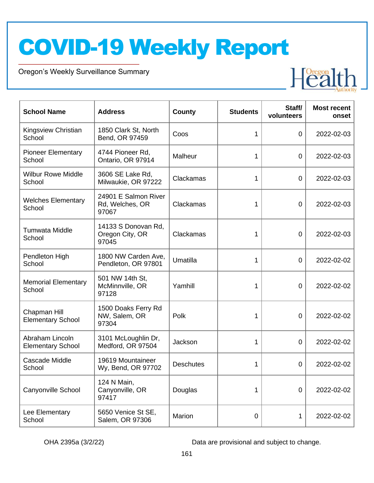Oregon's Weekly Surveillance Summary

Novel Coronavirus (COVID-19)



| <b>School Name</b>                          | <b>Address</b>                                   | County           | <b>Students</b> | Staff/<br>volunteers | <b>Most recent</b><br>onset |
|---------------------------------------------|--------------------------------------------------|------------------|-----------------|----------------------|-----------------------------|
| Kingsview Christian<br>School               | 1850 Clark St, North<br>Bend, OR 97459           | Coos             | 1               | 0                    | 2022-02-03                  |
| <b>Pioneer Elementary</b><br>School         | 4744 Pioneer Rd,<br>Ontario, OR 97914            | Malheur          | 1               | 0                    | 2022-02-03                  |
| <b>Wilbur Rowe Middle</b><br>School         | 3606 SE Lake Rd,<br>Milwaukie, OR 97222          | Clackamas        | 1               | $\mathbf 0$          | 2022-02-03                  |
| <b>Welches Elementary</b><br>School         | 24901 E Salmon River<br>Rd, Welches, OR<br>97067 | Clackamas        | 1               | $\mathbf 0$          | 2022-02-03                  |
| <b>Tumwata Middle</b><br>School             | 14133 S Donovan Rd,<br>Oregon City, OR<br>97045  | Clackamas        | 1               | $\mathbf 0$          | 2022-02-03                  |
| Pendleton High<br>School                    | 1800 NW Carden Ave,<br>Pendleton, OR 97801       | Umatilla         | 1               | $\overline{0}$       | 2022-02-02                  |
| <b>Memorial Elementary</b><br>School        | 501 NW 14th St,<br>McMinnville, OR<br>97128      | Yamhill          | 1               | 0                    | 2022-02-02                  |
| Chapman Hill<br><b>Elementary School</b>    | 1500 Doaks Ferry Rd<br>NW, Salem, OR<br>97304    | Polk             | 1               | 0                    | 2022-02-02                  |
| Abraham Lincoln<br><b>Elementary School</b> | 3101 McLoughlin Dr,<br>Medford, OR 97504         | Jackson          | 1               | 0                    | 2022-02-02                  |
| Cascade Middle<br>School                    | 19619 Mountaineer<br>Wy, Bend, OR 97702          | <b>Deschutes</b> | 1               | $\overline{0}$       | 2022-02-02                  |
| Canyonville School                          | 124 N Main,<br>Canyonville, OR<br>97417          | Douglas          | 1               | $\mathbf 0$          | 2022-02-02                  |
| Lee Elementary<br>School                    | 5650 Venice St SE,<br>Salem, OR 97306            | Marion           | 0               | 1                    | 2022-02-02                  |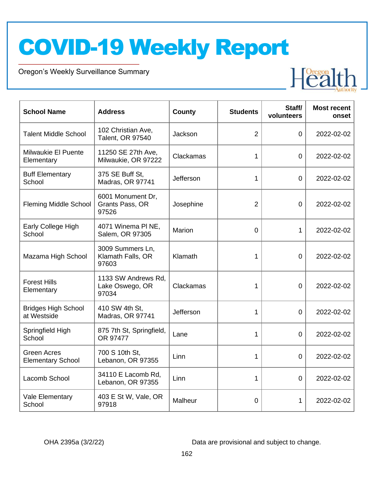Oregon's Weekly Surveillance Summary

Novel Coronavirus (COVID-19)



| <b>School Name</b>                             | <b>Address</b>                                  | <b>County</b> | <b>Students</b> | Staff/<br>volunteers | <b>Most recent</b><br>onset |
|------------------------------------------------|-------------------------------------------------|---------------|-----------------|----------------------|-----------------------------|
| <b>Talent Middle School</b>                    | 102 Christian Ave,<br>Talent, OR 97540          | Jackson       | $\overline{2}$  | $\overline{0}$       | 2022-02-02                  |
| Milwaukie El Puente<br>Elementary              | 11250 SE 27th Ave,<br>Milwaukie, OR 97222       | Clackamas     | 1               | $\overline{0}$       | 2022-02-02                  |
| <b>Buff Elementary</b><br>School               | 375 SE Buff St,<br>Madras, OR 97741             | Jefferson     | 1               | $\overline{0}$       | 2022-02-02                  |
| <b>Fleming Middle School</b>                   | 6001 Monument Dr,<br>Grants Pass, OR<br>97526   | Josephine     | $\overline{2}$  | $\overline{0}$       | 2022-02-02                  |
| Early College High<br>School                   | 4071 Winema PI NE,<br>Salem, OR 97305           | Marion        | 0               | $\mathbf{1}$         | 2022-02-02                  |
| Mazama High School                             | 3009 Summers Ln,<br>Klamath Falls, OR<br>97603  | Klamath       | 1               | $\overline{0}$       | 2022-02-02                  |
| <b>Forest Hills</b><br>Elementary              | 1133 SW Andrews Rd,<br>Lake Oswego, OR<br>97034 | Clackamas     | 1               | $\Omega$             | 2022-02-02                  |
| <b>Bridges High School</b><br>at Westside      | 410 SW 4th St,<br>Madras, OR 97741              | Jefferson     | 1               | $\overline{0}$       | 2022-02-02                  |
| Springfield High<br>School                     | 875 7th St, Springfield,<br>OR 97477            | Lane          | 1               | $\Omega$             | 2022-02-02                  |
| <b>Green Acres</b><br><b>Elementary School</b> | 700 S 10th St,<br>Lebanon, OR 97355             | Linn          | 1               | $\Omega$             | 2022-02-02                  |
| Lacomb School                                  | 34110 E Lacomb Rd,<br>Lebanon, OR 97355         | Linn          | 1               | $\overline{0}$       | 2022-02-02                  |
| Vale Elementary<br>School                      | 403 E St W, Vale, OR<br>97918                   | Malheur       | 0               | 1                    | 2022-02-02                  |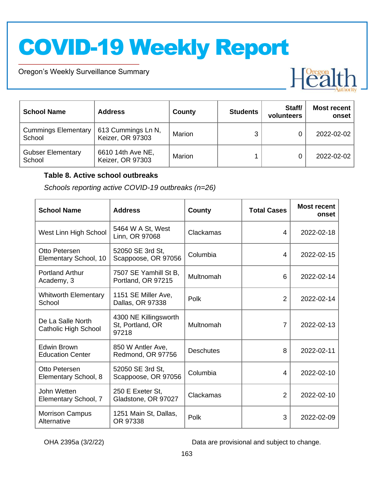Oregon's Weekly Surveillance Summary

Novel Coronavirus (COVID-19)



| <b>School Name</b>                   | <b>Address</b>                         | County | <b>Students</b> | Staff/<br>volunteers | <b>Most recent</b><br>onset |
|--------------------------------------|----------------------------------------|--------|-----------------|----------------------|-----------------------------|
| <b>Cummings Elementary</b><br>School | 613 Cummings Ln N,<br>Keizer, OR 97303 | Marion | 3               |                      | 2022-02-02                  |
| <b>Gubser Elementary</b><br>School   | 6610 14th Ave NE,<br>Keizer, OR 97303  | Marion |                 |                      | 2022-02-02                  |

#### **Table 8. Active school outbreaks**

*Schools reporting active COVID-19 outbreaks (n=26)*

| <b>School Name</b>                               | <b>Address</b>                                     | County           | <b>Total Cases</b> | <b>Most recent</b><br>onset |
|--------------------------------------------------|----------------------------------------------------|------------------|--------------------|-----------------------------|
| West Linn High School                            | 5464 W A St, West<br>Linn, OR 97068                | Clackamas        | 4                  | 2022-02-18                  |
| Otto Petersen<br>Elementary School, 10           | 52050 SE 3rd St,<br>Scappoose, OR 97056            | Columbia         | 4                  | 2022-02-15                  |
| <b>Portland Arthur</b><br>Academy, 3             | 7507 SE Yamhill St B,<br>Portland, OR 97215        | Multnomah        | 6                  | 2022-02-14                  |
| <b>Whitworth Elementary</b><br>School            | 1151 SE Miller Ave,<br>Dallas, OR 97338            | Polk             | $\overline{2}$     | 2022-02-14                  |
| De La Salle North<br><b>Catholic High School</b> | 4300 NE Killingsworth<br>St, Portland, OR<br>97218 | Multnomah        | $\overline{7}$     | 2022-02-13                  |
| Edwin Brown<br><b>Education Center</b>           | 850 W Antler Ave,<br>Redmond, OR 97756             | <b>Deschutes</b> | 8                  | 2022-02-11                  |
| Otto Petersen<br>Elementary School, 8            | 52050 SE 3rd St,<br>Scappoose, OR 97056            | Columbia         | 4                  | 2022-02-10                  |
| John Wetten<br>Elementary School, 7              | 250 E Exeter St,<br>Gladstone, OR 97027            | Clackamas        | $\overline{2}$     | 2022-02-10                  |
| <b>Morrison Campus</b><br>Alternative            | 1251 Main St, Dallas,<br>OR 97338                  | Polk             | 3                  | 2022-02-09                  |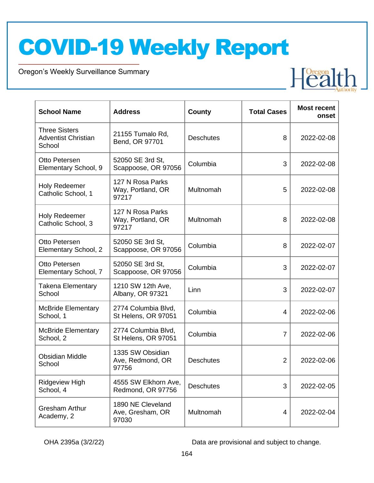Oregon's Weekly Surveillance Summary

Novel Coronavirus (COVID-19)

| <b>School Name</b>                                           | <b>Address</b>                                 | <b>County</b>    | <b>Total Cases</b> | <b>Most recent</b><br>onset |
|--------------------------------------------------------------|------------------------------------------------|------------------|--------------------|-----------------------------|
| <b>Three Sisters</b><br><b>Adventist Christian</b><br>School | 21155 Tumalo Rd,<br>Bend, OR 97701             | <b>Deschutes</b> | 8                  | 2022-02-08                  |
| Otto Petersen<br>Elementary School, 9                        | 52050 SE 3rd St,<br>Scappoose, OR 97056        | Columbia         | 3                  | 2022-02-08                  |
| <b>Holy Redeemer</b><br>Catholic School, 1                   | 127 N Rosa Parks<br>Way, Portland, OR<br>97217 | Multnomah        | 5                  | 2022-02-08                  |
| <b>Holy Redeemer</b><br>Catholic School, 3                   | 127 N Rosa Parks<br>Way, Portland, OR<br>97217 | Multnomah        | 8                  | 2022-02-08                  |
| Otto Petersen<br>Elementary School, 2                        | 52050 SE 3rd St,<br>Scappoose, OR 97056        | Columbia         | 8                  | 2022-02-07                  |
| Otto Petersen<br>Elementary School, 7                        | 52050 SE 3rd St,<br>Scappoose, OR 97056        | Columbia         | 3                  | 2022-02-07                  |
| <b>Takena Elementary</b><br>School                           | 1210 SW 12th Ave,<br>Albany, OR 97321          | Linn             | 3                  | 2022-02-07                  |
| <b>McBride Elementary</b><br>School, 1                       | 2774 Columbia Blvd,<br>St Helens, OR 97051     | Columbia         | 4                  | 2022-02-06                  |
| <b>McBride Elementary</b><br>School, 2                       | 2774 Columbia Blvd,<br>St Helens, OR 97051     | Columbia         | $\overline{7}$     | 2022-02-06                  |
| <b>Obsidian Middle</b><br>School                             | 1335 SW Obsidian<br>Ave, Redmond, OR<br>97756  | <b>Deschutes</b> | $\overline{2}$     | 2022-02-06                  |
| <b>Ridgeview High</b><br>School, 4                           | 4555 SW Elkhorn Ave,<br>Redmond, OR 97756      | <b>Deschutes</b> | 3                  | 2022-02-05                  |
| <b>Gresham Arthur</b><br>Academy, 2                          | 1890 NE Cleveland<br>Ave, Gresham, OR<br>97030 | Multnomah        | 4                  | 2022-02-04                  |

OHA 2395a (3/2/22) Data are provisional and subject to change.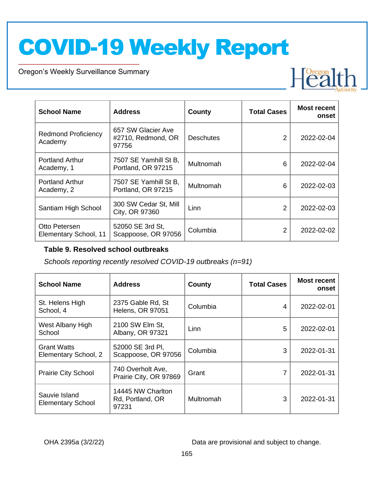Oregon's Weekly Surveillance Summary

Novel Coronavirus (COVID-19)



| <b>School Name</b>                     | <b>Address</b>                                    | County           | <b>Total Cases</b> | <b>Most recent</b><br>onset |
|----------------------------------------|---------------------------------------------------|------------------|--------------------|-----------------------------|
| <b>Redmond Proficiency</b><br>Academy  | 657 SW Glacier Ave<br>#2710, Redmond, OR<br>97756 | <b>Deschutes</b> | 2                  | 2022-02-04                  |
| <b>Portland Arthur</b><br>Academy, 1   | 7507 SE Yamhill St B,<br>Portland, OR 97215       | Multnomah        | 6                  | 2022-02-04                  |
| <b>Portland Arthur</b><br>Academy, 2   | 7507 SE Yamhill St B,<br>Portland, OR 97215       | Multnomah        | 6                  | 2022-02-03                  |
| Santiam High School                    | 300 SW Cedar St, Mill<br>City, OR 97360           | Linn             | $\mathfrak{p}$     | 2022-02-03                  |
| Otto Petersen<br>Elementary School, 11 | 52050 SE 3rd St,<br>Scappoose, OR 97056           | Columbia         | 2                  | 2022-02-02                  |

#### **Table 9. Resolved school outbreaks**

*Schools reporting recently resolved COVID-19 outbreaks (n=91)*

| <b>School Name</b>                         | <b>Address</b>                                 | County    | <b>Total Cases</b> | <b>Most recent</b><br>onset |
|--------------------------------------------|------------------------------------------------|-----------|--------------------|-----------------------------|
| St. Helens High<br>School, 4               | 2375 Gable Rd, St<br><b>Helens, OR 97051</b>   | Columbia  | 4                  | 2022-02-01                  |
| West Albany High<br>School                 | 2100 SW Elm St,<br>Albany, OR 97321            | Linn      | 5                  | 2022-02-01                  |
| <b>Grant Watts</b><br>Elementary School, 2 | 52000 SE 3rd PI,<br>Scappoose, OR 97056        | Columbia  | 3                  | 2022-01-31                  |
| <b>Prairie City School</b>                 | 740 Overholt Ave.<br>Prairie City, OR 97869    | Grant     |                    | 2022-01-31                  |
| Sauvie Island<br><b>Elementary School</b>  | 14445 NW Charlton<br>Rd, Portland, OR<br>97231 | Multnomah | 3                  | 2022-01-31                  |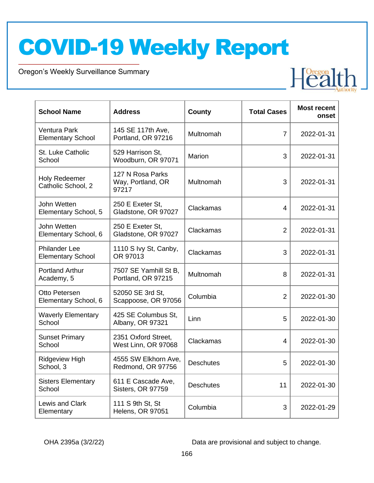Oregon's Weekly Surveillance Summary

Novel Coronavirus (COVID-19)

| <b>School Name</b>                               | <b>Address</b>                                 | County           | <b>Total Cases</b> | <b>Most recent</b><br>onset |
|--------------------------------------------------|------------------------------------------------|------------------|--------------------|-----------------------------|
| Ventura Park<br><b>Elementary School</b>         | 145 SE 117th Ave,<br>Portland, OR 97216        | Multnomah        | 7                  | 2022-01-31                  |
| St. Luke Catholic<br>School                      | 529 Harrison St,<br>Woodburn, OR 97071         | Marion           | 3                  | 2022-01-31                  |
| Holy Redeemer<br>Catholic School, 2              | 127 N Rosa Parks<br>Way, Portland, OR<br>97217 | Multnomah        | 3                  | 2022-01-31                  |
| John Wetten<br>Elementary School, 5              | 250 E Exeter St,<br>Gladstone, OR 97027        | Clackamas        | 4                  | 2022-01-31                  |
| John Wetten<br>Elementary School, 6              | 250 E Exeter St,<br>Gladstone, OR 97027        | Clackamas        | $\overline{2}$     | 2022-01-31                  |
| <b>Philander Lee</b><br><b>Elementary School</b> | 1110 S Ivy St, Canby,<br>OR 97013              | Clackamas        | 3                  | 2022-01-31                  |
| <b>Portland Arthur</b><br>Academy, 5             | 7507 SE Yamhill St B,<br>Portland, OR 97215    | Multnomah        | 8                  | 2022-01-31                  |
| Otto Petersen<br>Elementary School, 6            | 52050 SE 3rd St,<br>Scappoose, OR 97056        | Columbia         | $\overline{2}$     | 2022-01-30                  |
| <b>Waverly Elementary</b><br>School              | 425 SE Columbus St,<br>Albany, OR 97321        | Linn             | 5                  | 2022-01-30                  |
| <b>Sunset Primary</b><br>School                  | 2351 Oxford Street,<br>West Linn, OR 97068     | Clackamas        | 4                  | 2022-01-30                  |
| <b>Ridgeview High</b><br>School, 3               | 4555 SW Elkhorn Ave,<br>Redmond, OR 97756      | <b>Deschutes</b> | 5                  | 2022-01-30                  |
| <b>Sisters Elementary</b><br>School              | 611 E Cascade Ave,<br>Sisters, OR 97759        | <b>Deschutes</b> | 11                 | 2022-01-30                  |
| Lewis and Clark<br>Elementary                    | 111 S 9th St, St<br><b>Helens, OR 97051</b>    | Columbia         | 3                  | 2022-01-29                  |

OHA 2395a (3/2/22) Data are provisional and subject to change.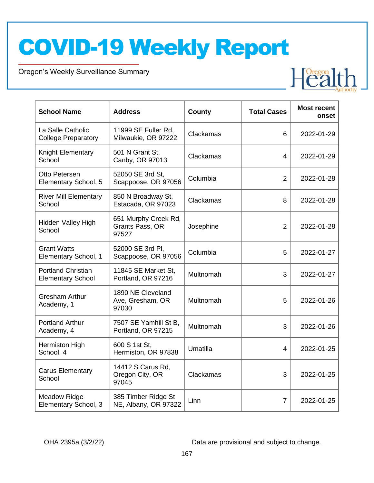Oregon's Weekly Surveillance Summary

Novel Coronavirus (COVID-19)

| <b>School Name</b>                                    | <b>Address</b>                                   | County    | <b>Total Cases</b> | <b>Most recent</b><br>onset |
|-------------------------------------------------------|--------------------------------------------------|-----------|--------------------|-----------------------------|
| La Salle Catholic<br><b>College Preparatory</b>       | 11999 SE Fuller Rd,<br>Milwaukie, OR 97222       | Clackamas | 6                  | 2022-01-29                  |
| Knight Elementary<br>School                           | 501 N Grant St,<br>Canby, OR 97013               | Clackamas | 4                  | 2022-01-29                  |
| Otto Petersen<br>Elementary School, 5                 | 52050 SE 3rd St,<br>Scappoose, OR 97056          | Columbia  | $\overline{2}$     | 2022-01-28                  |
| <b>River Mill Elementary</b><br>School                | 850 N Broadway St,<br>Estacada, OR 97023         | Clackamas | 8                  | 2022-01-28                  |
| Hidden Valley High<br>School                          | 651 Murphy Creek Rd,<br>Grants Pass, OR<br>97527 | Josephine | $\overline{2}$     | 2022-01-28                  |
| <b>Grant Watts</b><br>Elementary School, 1            | 52000 SE 3rd PI,<br>Scappoose, OR 97056          | Columbia  | 5                  | 2022-01-27                  |
| <b>Portland Christian</b><br><b>Elementary School</b> | 11845 SE Market St,<br>Portland, OR 97216        | Multnomah | 3                  | 2022-01-27                  |
| <b>Gresham Arthur</b><br>Academy, 1                   | 1890 NE Cleveland<br>Ave, Gresham, OR<br>97030   | Multnomah | 5                  | 2022-01-26                  |
| <b>Portland Arthur</b><br>Academy, 4                  | 7507 SE Yamhill St B,<br>Portland, OR 97215      | Multnomah | 3                  | 2022-01-26                  |
| Hermiston High<br>School, 4                           | 600 S 1st St,<br>Hermiston, OR 97838             | Umatilla  | 4                  | 2022-01-25                  |
| <b>Carus Elementary</b><br>School                     | 14412 S Carus Rd,<br>Oregon City, OR<br>97045    | Clackamas | 3                  | 2022-01-25                  |
| <b>Meadow Ridge</b><br>Elementary School, 3           | 385 Timber Ridge St<br>NE, Albany, OR 97322      | Linn      | 7                  | 2022-01-25                  |

OHA 2395a (3/2/22) Data are provisional and subject to change.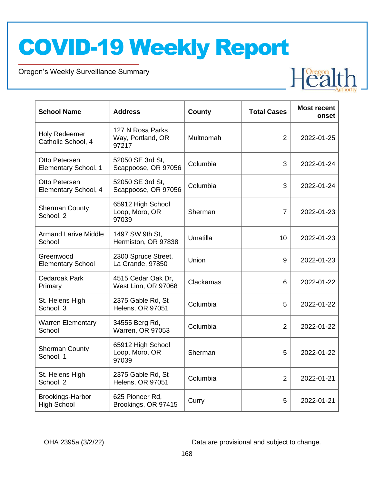Oregon's Weekly Surveillance Summary

Novel Coronavirus (COVID-19)



| <b>School Name</b>                            | <b>Address</b>                                 | <b>County</b> | <b>Total Cases</b> | <b>Most recent</b><br>onset |
|-----------------------------------------------|------------------------------------------------|---------------|--------------------|-----------------------------|
| <b>Holy Redeemer</b><br>Catholic School, 4    | 127 N Rosa Parks<br>Way, Portland, OR<br>97217 | Multnomah     | $\overline{2}$     | 2022-01-25                  |
| Otto Petersen<br>Elementary School, 1         | 52050 SE 3rd St,<br>Scappoose, OR 97056        | Columbia      | 3                  | 2022-01-24                  |
| Otto Petersen<br>Elementary School, 4         | 52050 SE 3rd St,<br>Scappoose, OR 97056        | Columbia      | 3                  | 2022-01-24                  |
| <b>Sherman County</b><br>School, 2            | 65912 High School<br>Loop, Moro, OR<br>97039   | Sherman       | $\overline{7}$     | 2022-01-23                  |
| <b>Armand Larive Middle</b><br>School         | 1497 SW 9th St.<br>Hermiston, OR 97838         | Umatilla      | 10                 | 2022-01-23                  |
| Greenwood<br><b>Elementary School</b>         | 2300 Spruce Street,<br>La Grande, 97850        | Union         | 9                  | 2022-01-23                  |
| <b>Cedaroak Park</b><br>Primary               | 4515 Cedar Oak Dr,<br>West Linn, OR 97068      | Clackamas     | 6                  | 2022-01-22                  |
| St. Helens High<br>School, 3                  | 2375 Gable Rd, St<br><b>Helens, OR 97051</b>   | Columbia      | 5                  | 2022-01-22                  |
| <b>Warren Elementary</b><br>School            | 34555 Berg Rd,<br><b>Warren, OR 97053</b>      | Columbia      | 2                  | 2022-01-22                  |
| <b>Sherman County</b><br>School, 1            | 65912 High School<br>Loop, Moro, OR<br>97039   | Sherman       | 5                  | 2022-01-22                  |
| St. Helens High<br>School, 2                  | 2375 Gable Rd, St<br><b>Helens, OR 97051</b>   | Columbia      | 2                  | 2022-01-21                  |
| <b>Brookings-Harbor</b><br><b>High School</b> | 625 Pioneer Rd,<br>Brookings, OR 97415         | Curry         | 5                  | 2022-01-21                  |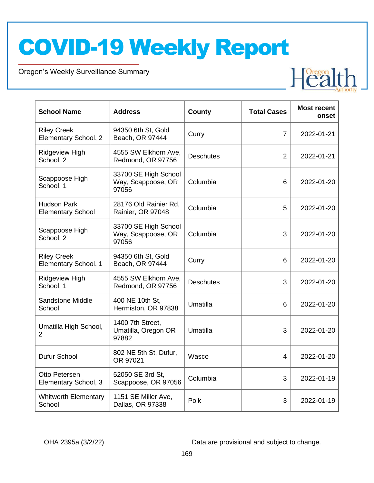Oregon's Weekly Surveillance Summary

Novel Coronavirus (COVID-19)

| <b>School Name</b>                             | <b>Address</b>                                      | <b>County</b>    | <b>Total Cases</b> | <b>Most recent</b><br>onset |
|------------------------------------------------|-----------------------------------------------------|------------------|--------------------|-----------------------------|
| <b>Riley Creek</b><br>Elementary School, 2     | 94350 6th St, Gold<br>Beach, OR 97444               | Curry            | $\overline{7}$     | 2022-01-21                  |
| <b>Ridgeview High</b><br>School, 2             | 4555 SW Elkhorn Ave,<br>Redmond, OR 97756           | <b>Deschutes</b> | $\overline{2}$     | 2022-01-21                  |
| Scappoose High<br>School, 1                    | 33700 SE High School<br>Way, Scappoose, OR<br>97056 | Columbia         | 6                  | 2022-01-20                  |
| <b>Hudson Park</b><br><b>Elementary School</b> | 28176 Old Rainier Rd,<br>Rainier, OR 97048          | Columbia         | 5                  | 2022-01-20                  |
| Scappoose High<br>School, 2                    | 33700 SE High School<br>Way, Scappoose, OR<br>97056 | Columbia         | 3                  | 2022-01-20                  |
| <b>Riley Creek</b><br>Elementary School, 1     | 94350 6th St, Gold<br>Beach, OR 97444               | Curry            | 6                  | 2022-01-20                  |
| Ridgeview High<br>School, 1                    | 4555 SW Elkhorn Ave,<br>Redmond, OR 97756           | <b>Deschutes</b> | 3                  | 2022-01-20                  |
| Sandstone Middle<br>School                     | 400 NE 10th St,<br>Hermiston, OR 97838              | Umatilla         | 6                  | 2022-01-20                  |
| Umatilla High School,<br>$\overline{2}$        | 1400 7th Street,<br>Umatilla, Oregon OR<br>97882    | Umatilla         | 3                  | 2022-01-20                  |
| Dufur School                                   | 802 NE 5th St, Dufur,<br>OR 97021                   | Wasco            | 4                  | 2022-01-20                  |
| Otto Petersen<br>Elementary School, 3          | 52050 SE 3rd St,<br>Scappoose, OR 97056             | Columbia         | 3                  | 2022-01-19                  |
| <b>Whitworth Elementary</b><br>School          | 1151 SE Miller Ave,<br>Dallas, OR 97338             | Polk             | 3                  | 2022-01-19                  |

OHA 2395a (3/2/22) Data are provisional and subject to change.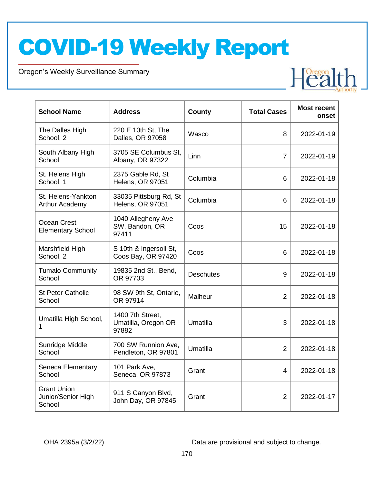Oregon's Weekly Surveillance Summary

Novel Coronavirus (COVID-19)

| <b>School Name</b>                                 | <b>Address</b>                                   | County           | <b>Total Cases</b> | <b>Most recent</b><br>onset |
|----------------------------------------------------|--------------------------------------------------|------------------|--------------------|-----------------------------|
| The Dalles High<br>School, 2                       | 220 E 10th St, The<br>Dalles, OR 97058           | Wasco            | 8                  | 2022-01-19                  |
| South Albany High<br>School                        | 3705 SE Columbus St.<br>Albany, OR 97322         | Linn             | 7                  | 2022-01-19                  |
| St. Helens High<br>School, 1                       | 2375 Gable Rd, St<br><b>Helens, OR 97051</b>     | Columbia         | 6                  | 2022-01-18                  |
| St. Helens-Yankton<br><b>Arthur Academy</b>        | 33035 Pittsburg Rd, St<br>Helens, OR 97051       | Columbia         | 6                  | 2022-01-18                  |
| Ocean Crest<br><b>Elementary School</b>            | 1040 Allegheny Ave<br>SW, Bandon, OR<br>97411    | Coos             | 15                 | 2022-01-18                  |
| Marshfield High<br>School, 2                       | S 10th & Ingersoll St,<br>Coos Bay, OR 97420     | Coos             | 6                  | 2022-01-18                  |
| <b>Tumalo Community</b><br>School                  | 19835 2nd St., Bend,<br>OR 97703                 | <b>Deschutes</b> | 9                  | 2022-01-18                  |
| <b>St Peter Catholic</b><br>School                 | 98 SW 9th St, Ontario,<br>OR 97914               | Malheur          | $\overline{2}$     | 2022-01-18                  |
| Umatilla High School,<br>1                         | 1400 7th Street,<br>Umatilla, Oregon OR<br>97882 | Umatilla         | 3                  | 2022-01-18                  |
| Sunridge Middle<br>School                          | 700 SW Runnion Ave,<br>Pendleton, OR 97801       | Umatilla         | $\overline{2}$     | 2022-01-18                  |
| Seneca Elementary<br>School                        | 101 Park Ave,<br>Seneca, OR 97873                | Grant            | 4                  | 2022-01-18                  |
| <b>Grant Union</b><br>Junior/Senior High<br>School | 911 S Canyon Blvd,<br>John Day, OR 97845         | Grant            | $\overline{2}$     | 2022-01-17                  |

OHA 2395a (3/2/22) Data are provisional and subject to change.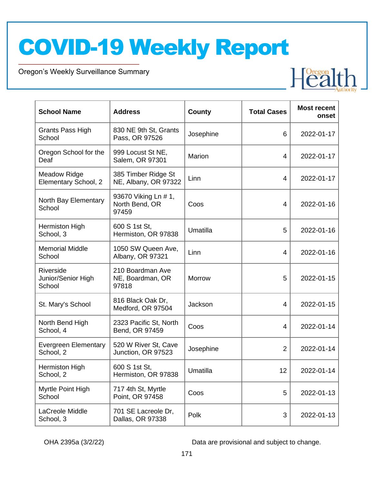Oregon's Weekly Surveillance Summary

Novel Coronavirus (COVID-19)

| <b>School Name</b>                          | <b>Address</b>                                  | <b>County</b> | <b>Total Cases</b> | <b>Most recent</b><br>onset |
|---------------------------------------------|-------------------------------------------------|---------------|--------------------|-----------------------------|
| Grants Pass High<br>School                  | 830 NE 9th St, Grants<br>Pass, OR 97526         | Josephine     | 6                  | 2022-01-17                  |
| Oregon School for the<br>Deaf               | 999 Locust St NE,<br>Salem, OR 97301            | Marion        | $\overline{4}$     | 2022-01-17                  |
| <b>Meadow Ridge</b><br>Elementary School, 2 | 385 Timber Ridge St<br>NE, Albany, OR 97322     | Linn          | $\overline{4}$     | 2022-01-17                  |
| North Bay Elementary<br>School              | 93670 Viking Ln # 1,<br>North Bend, OR<br>97459 | Coos          | 4                  | 2022-01-16                  |
| Hermiston High<br>School, 3                 | 600 S 1st St,<br>Hermiston, OR 97838            | Umatilla      | 5                  | 2022-01-16                  |
| <b>Memorial Middle</b><br>School            | 1050 SW Queen Ave,<br>Albany, OR 97321          | Linn          | $\overline{4}$     | 2022-01-16                  |
| Riverside<br>Junior/Senior High<br>School   | 210 Boardman Ave<br>NE, Boardman, OR<br>97818   | Morrow        | 5                  | 2022-01-15                  |
| St. Mary's School                           | 816 Black Oak Dr,<br>Medford, OR 97504          | Jackson       | $\overline{4}$     | 2022-01-15                  |
| North Bend High<br>School, 4                | 2323 Pacific St, North<br>Bend, OR 97459        | Coos          | $\overline{4}$     | 2022-01-14                  |
| <b>Evergreen Elementary</b><br>School, 2    | 520 W River St, Cave<br>Junction, OR 97523      | Josephine     | $\overline{2}$     | 2022-01-14                  |
| Hermiston High<br>School, 2                 | 600 S 1st St,<br>Hermiston, OR 97838            | Umatilla      | 12                 | 2022-01-14                  |
| Myrtle Point High<br>School                 | 717 4th St, Myrtle<br>Point, OR 97458           | Coos          | 5                  | 2022-01-13                  |
| LaCreole Middle<br>School, 3                | 701 SE Lacreole Dr,<br>Dallas, OR 97338         | Polk          | 3                  | 2022-01-13                  |

OHA 2395a (3/2/22) Data are provisional and subject to change.